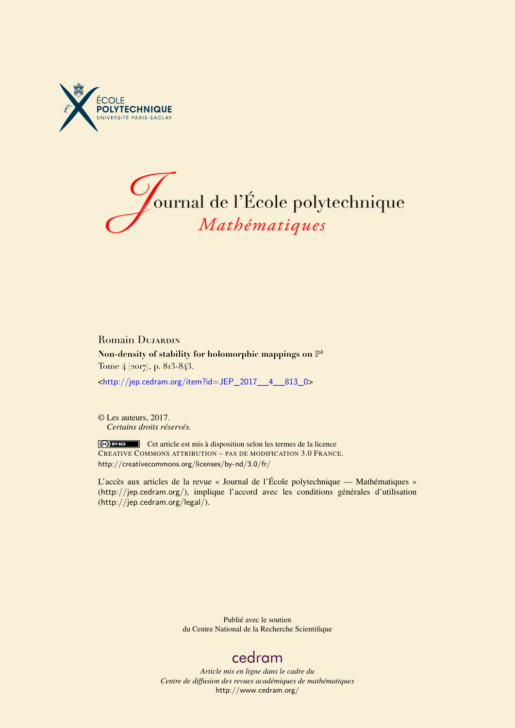



# Romain DUJARDIN **Non-density of stability for holomorphic mappings on** P k Tome 4 (2017), p. 813-843.

<[http://jep.cedram.org/item?id=JEP\\_2017\\_\\_4\\_\\_813\\_0](http://jep.cedram.org/item?id=JEP_2017__4__813_0)>

© Les auteurs, 2017. *Certains droits réservés.*

Cet article est mis à disposition selon les termes de la licence CREATIVE COMMONS ATTRIBUTION – PAS DE MODIFICATION 3.0 FRANCE. <http://creativecommons.org/licenses/by-nd/3.0/fr/>

L'accès aux articles de la revue « Journal de l'École polytechnique — Mathématiques » (<http://jep.cedram.org/>), implique l'accord avec les conditions générales d'utilisation (<http://jep.cedram.org/legal/>).

> Publié avec le soutien du Centre National de la Recherche Scientifique

# [cedram](http://www.cedram.org/)

*Article mis en ligne dans le cadre du Centre de diffusion des revues académiques de mathématiques* <http://www.cedram.org/>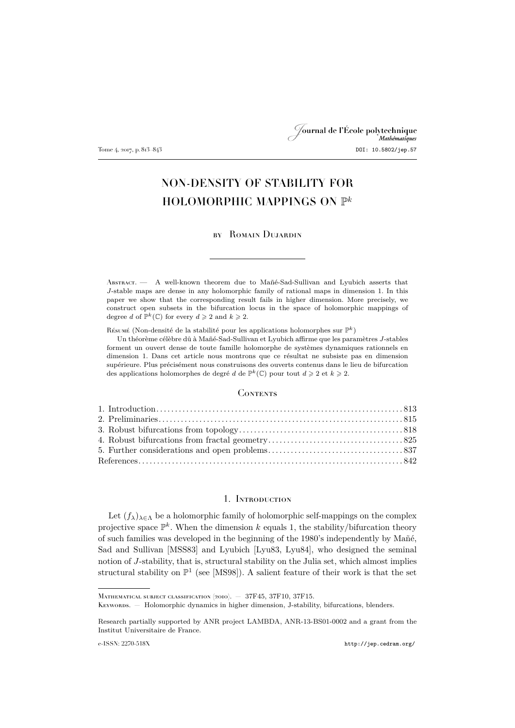# Journal de l'École polytechnique Tome 4, 2017, p. 813–843 DOI: 10.5802/jep.57

# NON-DENSITY OF STABILITY FOR HOLOMORPHIC MAPPINGS ON  $\mathbb{P}^k$

### by Romain Dujardin

Abstract. — A well-known theorem due to Mañé-Sad-Sullivan and Lyubich asserts that J-stable maps are dense in any holomorphic family of rational maps in dimension 1. In this paper we show that the corresponding result fails in higher dimension. More precisely, we construct open subsets in the bifurcation locus in the space of holomorphic mappings of degree d of  $\mathbb{P}^k(\mathbb{C})$  for every  $d \geq 2$  and  $k \geq 2$ .

Résumé (Non-densité de la stabilité pour les applications holomorphes sur  $\mathbb{P}^k$ )

Un théorème célèbre dû à Mañé-Sad-Sullivan et Lyubich affirme que les paramètres J-stables forment un ouvert dense de toute famille holomorphe de systèmes dynamiques rationnels en dimension 1. Dans cet article nous montrons que ce résultat ne subsiste pas en dimension supérieure. Plus précisément nous construisons des ouverts contenus dans le lieu de bifurcation des applications holomorphes de degré d de  $\mathbb{P}^k(\mathbb{C})$  pour tout  $d \geq 2$  et  $k \geq 2$ .

# **CONTENTS**

# 1. Introduction

<span id="page-1-0"></span>Let  $(f_{\lambda})_{\lambda \in \Lambda}$  be a holomorphic family of holomorphic self-mappings on the complex projective space  $\mathbb{P}^k$ . When the dimension k equals 1, the stability/bifurcation theory of such families was developed in the beginning of the 1980's independently by Mañé, Sad and Sullivan [\[MSS83\]](#page-31-0) and Lyubich [\[Lyu83,](#page-31-1) [Lyu84\]](#page-31-2), who designed the seminal notion of J-stability, that is, structural stability on the Julia set, which almost implies structural stability on  $\mathbb{P}^1$  (see [\[MS98\]](#page-31-3)). A salient feature of their work is that the set

MATHEMATICAL SUBJECT CLASSIFICATION (2010). - 37F45, 37F10, 37F15.

KEYWORDS. — Holomorphic dynamics in higher dimension, J-stability, bifurcations, blenders.

Research partially supported by ANR project LAMBDA, ANR-13-BS01-0002 and a grant from the Institut Universitaire de France.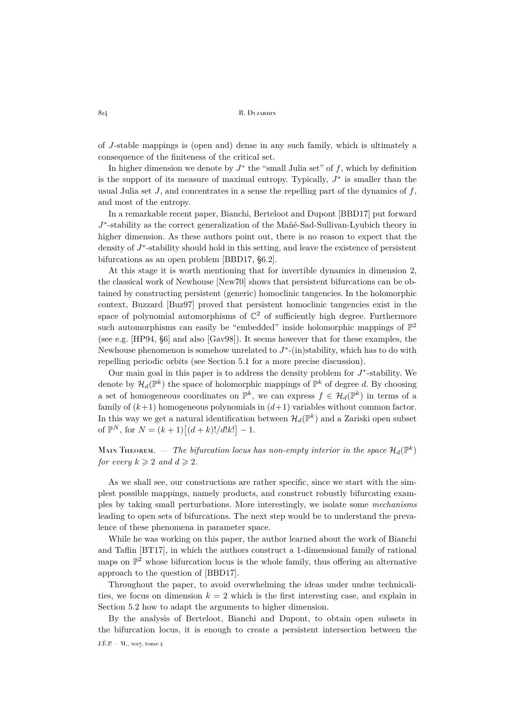of J-stable mappings is (open and) dense in any such family, which is ultimately a consequence of the finiteness of the critical set.

In higher dimension we denote by  $J^*$  the "small Julia set" of f, which by definition is the support of its measure of maximal entropy. Typically,  $J^*$  is smaller than the usual Julia set  $J$ , and concentrates in a sense the repelling part of the dynamics of  $f$ , and most of the entropy.

In a remarkable recent paper, Bianchi, Berteloot and Dupont [\[BBD17\]](#page-30-1) put forward J\*-stability as the correct generalization of the Mañé-Sad-Sullivan-Lyubich theory in higher dimension. As these authors point out, there is no reason to expect that the density of  $J^*$ -stability should hold in this setting, and leave the existence of persistent bifurcations as an open problem [\[BBD17,](#page-30-1) §6.2].

At this stage it is worth mentioning that for invertible dynamics in dimension 2, the classical work of Newhouse [\[New70\]](#page-31-4) shows that persistent bifurcations can be obtained by constructing persistent (generic) homoclinic tangencies. In the holomorphic context, Buzzard [\[Buz97\]](#page-30-2) proved that persistent homoclinic tangencies exist in the space of polynomial automorphisms of  $\mathbb{C}^2$  of sufficiently high degree. Furthermore such automorphisms can easily be "embedded" inside holomorphic mappings of  $\mathbb{P}^2$ (see e.g. [\[HP94,](#page-31-5) §6] and also [\[Gav98\]](#page-31-6)). It seems however that for these examples, the Newhouse phenomenon is somehow unrelated to  $J^*$ -(in)stability, which has to do with repelling periodic orbits (see Section [5.1](#page-25-1) for a more precise discussion).

Our main goal in this paper is to address the density problem for  $J^*$ -stability. We denote by  $\mathcal{H}_d(\mathbb{P}^k)$  the space of holomorphic mappings of  $\mathbb{P}^k$  of degree d. By choosing a set of homogeneous coordinates on  $\mathbb{P}^k$ , we can express  $f \in \mathcal{H}_d(\mathbb{P}^k)$  in terms of a family of  $(k+1)$  homogeneous polynomials in  $(d+1)$  variables without common factor. In this way we get a natural identification between  $\mathcal{H}_d(\mathbb{P}^k)$  and a Zariski open subset of  $\mathbb{P}^N$ , for  $N = (k+1)\left[ (d+k)!/d!k! \right] - 1$ .

MAIN THEOREM.  $-$  The bifurcation locus has non-empty interior in the space  $\mathcal{H}_d(\mathbb{P}^k)$ *for every*  $k \geqslant 2$  *and*  $d \geqslant 2$ *.* 

As we shall see, our constructions are rather specific, since we start with the simplest possible mappings, namely products, and construct robustly bifurcating examples by taking small perturbations. More interestingly, we isolate some *mechanisms* leading to open sets of bifurcations. The next step would be to understand the prevalence of these phenomena in parameter space.

While he was working on this paper, the author learned about the work of Bianchi and Taflin [\[BT17\]](#page-30-3), in which the authors construct a 1-dimensional family of rational maps on  $\mathbb{P}^2$  whose bifurcation locus is the whole family, thus offering an alternative approach to the question of [\[BBD17\]](#page-30-1).

Throughout the paper, to avoid overwhelming the ideas under undue technicalities, we focus on dimension  $k = 2$  which is the first interesting case, and explain in Section [5.2](#page-27-0) how to adapt the arguments to higher dimension.

By the analysis of Berteloot, Bianchi and Dupont, to obtain open subsets in the bifurcation locus, it is enough to create a persistent intersection between the J.É.P. — M., 2017, tome 4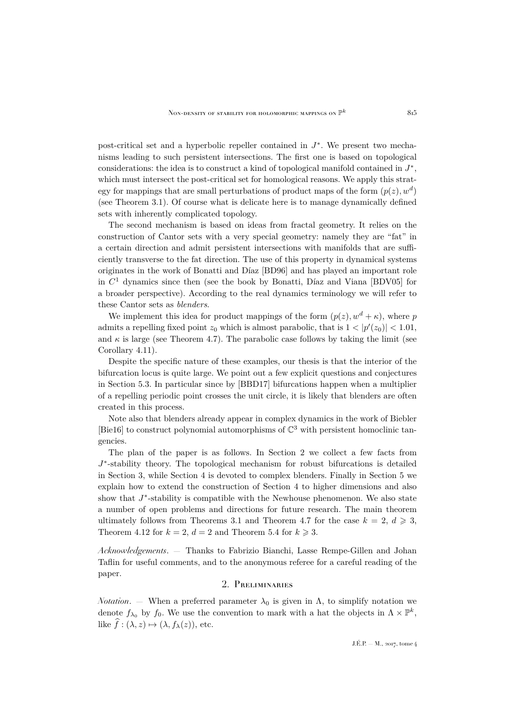post-critical set and a hyperbolic repeller contained in  $J^*$ . We present two mechanisms leading to such persistent intersections. The first one is based on topological considerations: the idea is to construct a kind of topological manifold contained in  $J^*$ , which must intersect the post-critical set for homological reasons. We apply this strategy for mappings that are small perturbations of product maps of the form  $(p(z), w<sup>d</sup>)$ (see Theorem [3.1\)](#page-6-1). Of course what is delicate here is to manage dynamically defined sets with inherently complicated topology.

The second mechanism is based on ideas from fractal geometry. It relies on the construction of Cantor sets with a very special geometry: namely they are "fat" in a certain direction and admit persistent intersections with manifolds that are sufficiently transverse to the fat direction. The use of this property in dynamical systems originates in the work of Bonatti and Díaz [\[BD96\]](#page-30-4) and has played an important role in  $C<sup>1</sup>$  dynamics since then (see the book by Bonatti, Díaz and Viana [\[BDV05\]](#page-30-5) for a broader perspective). According to the real dynamics terminology we will refer to these Cantor sets as *blenders*.

We implement this idea for product mappings of the form  $(p(z), w^d + \kappa)$ , where p admits a repelling fixed point  $z_0$  which is almost parabolic, that is  $1 < |p'(z_0)| < 1.01$ , and  $\kappa$  is large (see Theorem [4.7\)](#page-18-0). The parabolic case follows by taking the limit (see Corollary [4.11\)](#page-24-0).

Despite the specific nature of these examples, our thesis is that the interior of the bifurcation locus is quite large. We point out a few explicit questions and conjectures in Section [5.3.](#page-29-0) In particular since by [\[BBD17\]](#page-30-1) bifurcations happen when a multiplier of a repelling periodic point crosses the unit circle, it is likely that blenders are often created in this process.

Note also that blenders already appear in complex dynamics in the work of Biebler [\[Bie16\]](#page-30-6) to construct polynomial automorphisms of  $\mathbb{C}^3$  with persistent homoclinic tangencies.

The plan of the paper is as follows. In Section [2](#page-3-0) we collect a few facts from J\*-stability theory. The topological mechanism for robust bifurcations is detailed in Section [3,](#page-6-0) while Section [4](#page-13-0) is devoted to complex blenders. Finally in Section [5](#page-25-0) we explain how to extend the construction of Section [4](#page-13-0) to higher dimensions and also show that  $J^*$ -stability is compatible with the Newhouse phenomenon. We also state a number of open problems and directions for future research. The main theorem ultimately follows from Theorems [3.1](#page-6-1) and Theorem [4.7](#page-18-0) for the case  $k = 2, d \ge 3$ , Theorem [4.12](#page-25-2) for  $k = 2$ ,  $d = 2$  and Theorem [5.4](#page-27-1) for  $k \ge 3$ .

*Acknowledgements*. — Thanks to Fabrizio Bianchi, Lasse Rempe-Gillen and Johan Taflin for useful comments, and to the anonymous referee for a careful reading of the paper.

# 2. Preliminaries

<span id="page-3-0"></span>*Notation*. — When a preferred parameter  $\lambda_0$  is given in  $\Lambda$ , to simplify notation we denote  $f_{\lambda_0}$  by  $f_0$ . We use the convention to mark with a hat the objects in  $\Lambda \times \mathbb{P}^k$ , like  $\widehat{f}: (\lambda, z) \mapsto (\lambda, f_\lambda(z))$ , etc.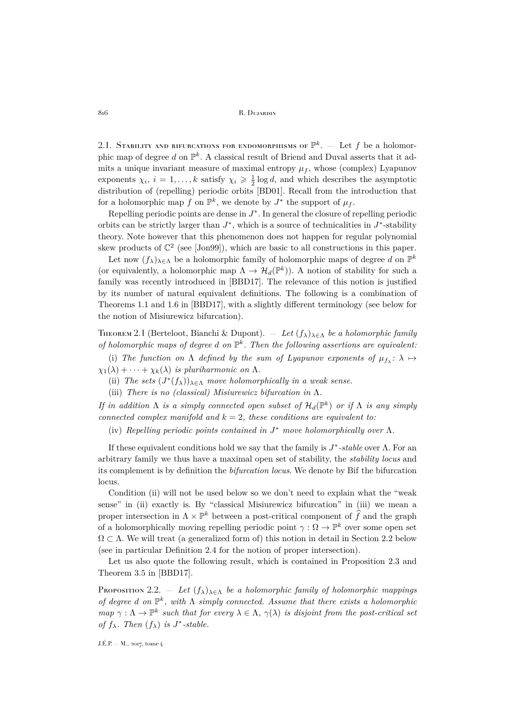2.1. Stability and bifurcations for endomorphisms of  $\mathbb{P}^k$ .  $-$  Let  $f$  be a holomorphic map of degree d on  $\mathbb{P}^k$ . A classical result of Briend and Duval asserts that it admits a unique invariant measure of maximal entropy  $\mu_f$ , whose (complex) Lyapunov exponents  $\chi_i$ ,  $i = 1, ..., k$  satisfy  $\chi_i \geq \frac{1}{2} \log d$ , and which describes the asymptotic distribution of (repelling) periodic orbits [\[BD01\]](#page-30-7). Recall from the introduction that for a holomorphic map f on  $\mathbb{P}^k$ , we denote by  $J^*$  the support of  $\mu_f$ .

Repelling periodic points are dense in  $J^*$ . In general the closure of repelling periodic orbits can be strictly larger than  $J^*$ , which is a source of technicalities in  $J^*$ -stability theory. Note however that this phenomenon does not happen for regular polynomial skew products of  $\mathbb{C}^2$  (see [\[Jon99\]](#page-31-7)), which are basic to all constructions in this paper.

Let now  $(f_{\lambda})_{\lambda \in \Lambda}$  be a holomorphic family of holomorphic maps of degree d on  $\mathbb{P}^k$ (or equivalently, a holomorphic map  $\Lambda \to \mathcal{H}_d(\mathbb{P}^k)$ ). A notion of stability for such a family was recently introduced in [\[BBD17\]](#page-30-1). The relevance of this notion is justified by its number of natural equivalent definitions. The following is a combination of Theorems 1.1 and 1.6 in [\[BBD17\]](#page-30-1), with a slightly different terminology (see below for the notion of Misiurewicz bifurcation).

<span id="page-4-0"></span>Theorem 2.1 (Berteloot, Bianchi & Dupont). — *Let* (fλ)λ∈<sup>Λ</sup> *be a holomorphic family* of holomorphic maps of degree  $d$  on  $\mathbb{P}^k$ . Then the following assertions are equivalent:

(i) The function on  $\Lambda$  defined by the sum of Lyapunov exponents of  $\mu_{f\lambda}$ :  $\lambda \mapsto$  $\chi_1(\lambda) + \cdots + \chi_k(\lambda)$  *is pluriharmonic on*  $\Lambda$ .

(ii) *The sets*  $(J^*(f_\lambda))_{\lambda \in \Lambda}$  *move holomorphically in a weak sense.* 

(iii) *There is no (classical) Misiurewicz bifurcation in* Λ*.*

*If in addition*  $\Lambda$  *is a simply connected open subset of*  $\mathcal{H}_d(\mathbb{P}^k)$  *or if*  $\Lambda$  *is any simply connected complex manifold and*  $k = 2$ *, these conditions are equivalent to:* 

(iv) *Repelling periodic points contained in* J <sup>∗</sup> *move holomorphically over* Λ*.*

If these equivalent conditions hold we say that the family is J ∗ *-stable* over Λ. For an arbitrary family we thus have a maximal open set of stability, the *stability locus* and its complement is by definition the *bifurcation locus*. We denote by Bif the bifurcation locus.

Condition (ii) will not be used below so we don't need to explain what the "weak sense" in (ii) exactly is. By "classical Misiurewicz bifurcation" in (iii) we mean a proper intersection in  $\Lambda \times \mathbb{P}^k$  between a post-critical component of  $\widehat{f}$  and the graph of a holomorphically moving repelling periodic point  $\gamma : \Omega \to \mathbb{P}^k$  over some open set  $\Omega \subset \Lambda$ . We will treat (a generalized form of) this notion in detail in Section [2.2](#page-5-0) below (see in particular Definition [2.4](#page-5-1) for the notion of proper intersection).

Let us also quote the following result, which is contained in Proposition 2.3 and Theorem 3.5 in [\[BBD17\]](#page-30-1).

<span id="page-4-1"></span>Proposition 2.2. — Let  $(f_{\lambda})_{\lambda \in \Lambda}$  *be a holomorphic family of holomorphic mappings of degree* d *on* P k *, with* Λ *simply connected. Assume that there exists a holomorphic map*  $\gamma : \Lambda \to \mathbb{P}^k$  *such that for every*  $\lambda \in \Lambda$ ,  $\gamma(\lambda)$  *is disjoint from the post-critical set of*  $f_{\lambda}$ *. Then*  $(f_{\lambda})$  *is*  $J^*$ -stable.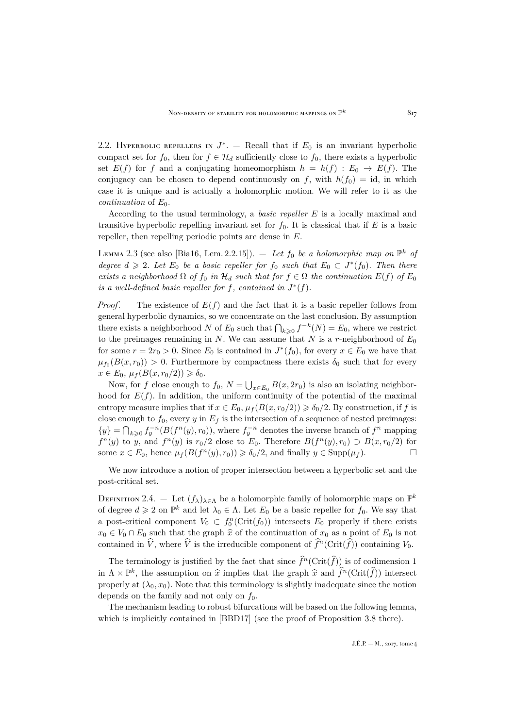<span id="page-5-0"></span>2.2. HYPERBOLIC REPELLERS IN  $J^*$ . – Recall that if  $E_0$  is an invariant hyperbolic compact set for  $f_0$ , then for  $f \in \mathcal{H}_d$  sufficiently close to  $f_0$ , there exists a hyperbolic set  $E(f)$  for f and a conjugating homeomorphism  $h = h(f) : E_0 \to E(f)$ . The conjugacy can be chosen to depend continuously on f, with  $h(f_0) = id$ , in which case it is unique and is actually a holomorphic motion. We will refer to it as the *continuation* of  $E_0$ .

According to the usual terminology, a *basic repeller* E is a locally maximal and transitive hyperbolic repelling invariant set for  $f_0$ . It is classical that if E is a basic repeller, then repelling periodic points are dense in E.

<span id="page-5-2"></span>LEMMA 2.3 (see also [\[Bia16,](#page-30-8) Lem. 2.2.15]).  $-$  *Let*  $f_0$  *be a holomorphic map on*  $\mathbb{P}^k$  *of degree*  $d \geq 2$ *. Let*  $E_0$  *be a basic repeller for*  $f_0$  *such that*  $E_0 \subset J^*(f_0)$ *. Then there exists a neighborhood*  $\Omega$  *of*  $f_0$  *in*  $\mathcal{H}_d$  *such that for*  $f \in \Omega$  *the continuation*  $E(f)$  *of*  $E_0$ *is a well-defined basic repeller for*  $f$ *, contained in*  $J^*(f)$ *.* 

*Proof.* – The existence of  $E(f)$  and the fact that it is a basic repeller follows from general hyperbolic dynamics, so we concentrate on the last conclusion. By assumption there exists a neighborhood N of  $E_0$  such that  $\bigcap_{k\geqslant 0} f^{-k}(N) = E_0$ , where we restrict to the preimages remaining in  $N$ . We can assume that  $N$  is a r-neighborhood of  $E_0$ for some  $r = 2r_0 > 0$ . Since  $E_0$  is contained in  $J^*(f_0)$ , for every  $x \in E_0$  we have that  $\mu_{f_0}(B(x,r_0)) > 0$ . Furthermore by compactness there exists  $\delta_0$  such that for every  $x \in E_0$ ,  $\mu_f(B(x, r_0/2)) \geq \delta_0$ .

Now, for f close enough to  $f_0$ ,  $N = \bigcup_{x \in E_0} B(x, 2r_0)$  is also an isolating neighborhood for  $E(f)$ . In addition, the uniform continuity of the potential of the maximal entropy measure implies that if  $x \in E_0$ ,  $\mu_f(B(x, r_0/2)) \ge \delta_0/2$ . By construction, if f is close enough to  $f_0$ , every y in  $E_f$  is the intersection of a sequence of nested preimages:  $\{y\} = \bigcap_{k \geqslant 0} f_y^{-n}(B(f^n(y), r_0)),$  where  $f_y^{-n}$  denotes the inverse branch of  $f^n$  mapping  $f^{n}(y)$  to y, and  $f^{n}(y)$  is  $r_0/2$  close to  $E_0$ . Therefore  $B(f^{n}(y), r_0) \supset B(x, r_0/2)$  for some  $x \in E_0$ , hence  $\mu_f(B(f^n(y), r_0)) \ge \delta_0/2$ , and finally  $y \in \text{Supp}(\mu_f)$ .

We now introduce a notion of proper intersection between a hyperbolic set and the post-critical set.

<span id="page-5-1"></span>DEFINITION 2.4. – Let  $(f_{\lambda})_{\lambda \in \Lambda}$  be a holomorphic family of holomorphic maps on  $\mathbb{P}^k$ of degree  $d \geq 2$  on  $\mathbb{P}^k$  and let  $\lambda_0 \in \Lambda$ . Let  $E_0$  be a basic repeller for  $f_0$ . We say that a post-critical component  $V_0 \subset f_0^n(\mathrm{Crit}(f_0))$  intersects  $E_0$  properly if there exists  $x_0 \in V_0 \cap E_0$  such that the graph  $\hat{x}$  of the continuation of  $x_0$  as a point of  $E_0$  is not contained in  $\hat{V}$ , where  $\hat{V}$  is the irreducible component of  $\hat{f}^n(\text{Crit}(\hat{f}))$  containing  $V_0$ .

The terminology is justified by the fact that since  $\hat{f}^n(\mathrm{Crit}(\hat{f}))$  is of codimension 1 in  $\Lambda \times \mathbb{P}^k$ , the assumption on  $\hat{x}$  implies that the graph  $\hat{x}$  and  $\hat{f}^n(\text{Crit}(\hat{f}))$  intersect properly at  $(\lambda_0, x_0)$ . Note that this terminology is slightly inadequate since the notion depends on the family and not only on  $f_0$ .

The mechanism leading to robust bifurcations will be based on the following lemma, which is implicitly contained in [\[BBD17\]](#page-30-1) (see the proof of Proposition 3.8 there).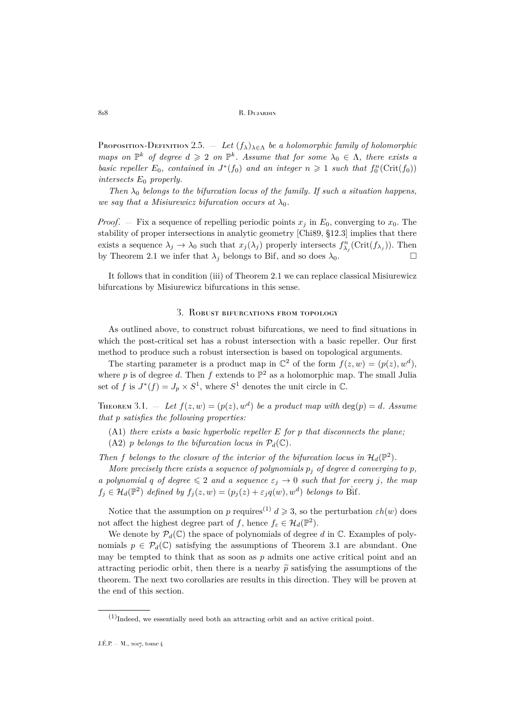<span id="page-6-2"></span>PROPOSITION-DEFINITION 2.5. — Let  $(f_{\lambda})_{\lambda \in \Lambda}$  be a holomorphic family of holomorphic *maps on*  $\mathbb{P}^k$  *of degree*  $d \geq 2$  *on*  $\mathbb{P}^k$ *. Assume that for some*  $\lambda_0 \in \Lambda$ *, there exists a basic repeller*  $E_0$ , *contained in*  $J^*(f_0)$  *and an integer*  $n \geq 1$  *such that*  $f_0^n(\text{Crit}(f_0))$ *intersects* E<sup>0</sup> *properly.*

*Then*  $\lambda_0$  *belongs to the bifurcation locus of the family. If such a situation happens, we say that a Misiurewicz bifurcation occurs at*  $\lambda_0$ *.* 

*Proof.* – Fix a sequence of repelling periodic points  $x_j$  in  $E_0$ , converging to  $x_0$ . The stability of proper intersections in analytic geometry [\[Chi89,](#page-30-9) §12.3] implies that there exists a sequence  $\lambda_j \to \lambda_0$  such that  $x_j(\lambda_j)$  properly intersects  $f_{\lambda_j}^n(\text{Crit}(f_{\lambda_j}))$ . Then by Theorem [2.1](#page-4-0) we infer that  $\lambda_j$  belongs to Bif, and so does  $\lambda_0$ .

It follows that in condition (iii) of Theorem [2.1](#page-4-0) we can replace classical Misiurewicz bifurcations by Misiurewicz bifurcations in this sense.

### 3. Robust bifurcations from topology

<span id="page-6-0"></span>As outlined above, to construct robust bifurcations, we need to find situations in which the post-critical set has a robust intersection with a basic repeller. Our first method to produce such a robust intersection is based on topological arguments.

The starting parameter is a product map in  $\mathbb{C}^2$  of the form  $f(z, w) = (p(z), w^d)$ , where p is of degree d. Then f extends to  $\mathbb{P}^2$  as a holomorphic map. The small Julia set of f is  $J^*(f) = J_p \times S^1$ , where  $S^1$  denotes the unit circle in  $\mathbb{C}$ .

<span id="page-6-1"></span>THEOREM 3.1. - Let  $f(z, w) = (p(z), w^d)$  be a product map with  $\deg(p) = d$ . Assume *that* p *satisfies the following properties:*

- (A1) *there exists a basic hyperbolic repeller* E *for* p *that disconnects the plane;*
- (A2) p *belongs to the bifurcation locus in*  $P_d(\mathbb{C})$ *.*

Then f belongs to the closure of the interior of the bifurcation locus in  $\mathcal{H}_d(\mathbb{P}^2)$ .

*More precisely there exists a sequence of polynomials*  $p_i$  *of degree d converging to*  $p$ *, a polynomial* q *of degree*  $\leq 2$  *and a sequence*  $\varepsilon_j \to 0$  *such that for every j, the map*  $f_j \in \mathcal{H}_d(\mathbb{P}^2)$  defined by  $f_j(z,w) = (p_j(z) + \varepsilon_j q(w), w^d)$  belongs to Bif.

Notice that the assumption on p requires<sup>(1)</sup>  $d \geq 3$ , so the perturbation  $\varepsilon h(w)$  does not affect the highest degree part of f, hence  $f_{\varepsilon} \in \mathcal{H}_d(\mathbb{P}^2)$ .

We denote by  $\mathcal{P}_d(\mathbb{C})$  the space of polynomials of degree d in  $\mathbb{C}$ . Examples of polynomials  $p \in \mathcal{P}_d(\mathbb{C})$  satisfying the assumptions of Theorem [3.1](#page-6-1) are abundant. One may be tempted to think that as soon as  $p$  admits one active critical point and an attracting periodic orbit, then there is a nearby  $\tilde{p}$  satisfying the assumptions of the theorem. The next two corollaries are results in this direction. They will be proven at the end of this section.

 $(1)$ Indeed, we essentially need both an attracting orbit and an active critical point.

J.É.P. — M., 2017, tome 4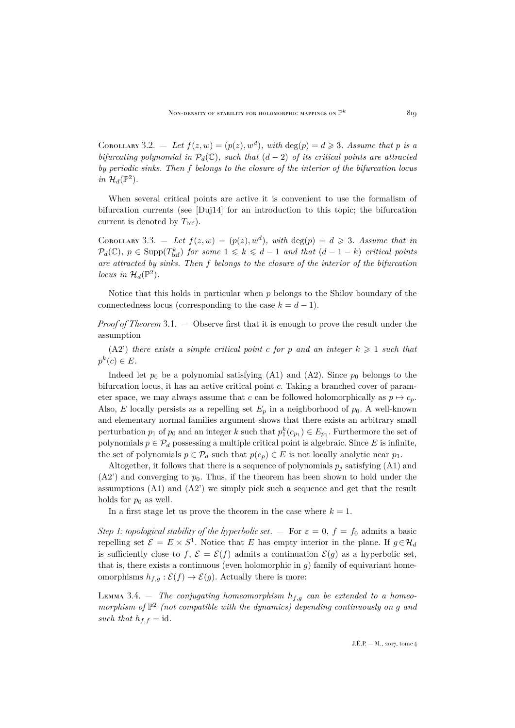<span id="page-7-1"></span>COROLLARY 3.2. - Let  $f(z, w) = (p(z), w^d)$ , with  $\deg(p) = d \geq 3$ . Assume that p is a *bifurcating polynomial in*  $\mathcal{P}_d(\mathbb{C})$ *, such that*  $(d-2)$  *of its critical points are attracted by periodic sinks. Then* f *belongs to the closure of the interior of the bifurcation locus in*  $\mathcal{H}_d(\mathbb{P}^2)$ .

When several critical points are active it is convenient to use the formalism of bifurcation currents (see [\[Duj14\]](#page-30-10) for an introduction to this topic; the bifurcation current is denoted by  $T_{\text{bif}}$ ).

<span id="page-7-2"></span>COROLLARY 3.3. - Let  $f(z, w) = (p(z), w^d)$ , with  $deg(p) = d \geq 3$ . Assume that in  $\mathcal{P}_d(\mathbb{C})$ ,  $p \in \text{Supp}(T^k_{\text{bif}})$  *for some*  $1 \leq k \leq d-1$  *and that*  $(d-1-k)$  *critical points are attracted by sinks. Then* f *belongs to the closure of the interior of the bifurcation locus in*  $\mathcal{H}_d(\mathbb{P}^2)$ *.* 

Notice that this holds in particular when  $p$  belongs to the Shilov boundary of the connectedness locus (corresponding to the case  $k = d - 1$ ).

*Proof of Theorem* [3.1.](#page-6-1) — Observe first that it is enough to prove the result under the assumption

 $(A2')$  *there exists a simple critical point c for p and an integer*  $k \geq 1$  *such that*  $p^k(c) \in E$ .

Indeed let  $p_0$  be a polynomial satisfying (A1) and (A2). Since  $p_0$  belongs to the bifurcation locus, it has an active critical point c. Taking a branched cover of parameter space, we may always assume that c can be followed holomorphically as  $p \mapsto c_p$ . Also, E locally persists as a repelling set  $E_p$  in a neighborhood of  $p_0$ . A well-known and elementary normal families argument shows that there exists an arbitrary small perturbation  $p_1$  of  $p_0$  and an integer k such that  $p_1^k(c_{p_1}) \in E_{p_1}$ . Furthermore the set of polynomials  $p \in \mathcal{P}_d$  possessing a multiple critical point is algebraic. Since E is infinite, the set of polynomials  $p \in \mathcal{P}_d$  such that  $p(c_p) \in E$  is not locally analytic near  $p_1$ .

Altogether, it follows that there is a sequence of polynomials  $p_i$  satisfying (A1) and  $(A2')$  and converging to  $p_0$ . Thus, if the theorem has been shown to hold under the assumptions (A1) and (A2') we simply pick such a sequence and get that the result holds for  $p_0$  as well.

In a first stage let us prove the theorem in the case where  $k = 1$ .

*Step 1: topological stability of the hyperbolic set.*  $-$  For  $\varepsilon = 0$ ,  $f = f_0$  admits a basic repelling set  $\mathcal{E} = E \times S^1$ . Notice that E has empty interior in the plane. If  $g \in \mathcal{H}_d$ is sufficiently close to f,  $\mathcal{E} = \mathcal{E}(f)$  admits a continuation  $\mathcal{E}(g)$  as a hyperbolic set, that is, there exists a continuous (even holomorphic in  $q$ ) family of equivariant homeomorphisms  $h_{f,g}: \mathcal{E}(f) \to \mathcal{E}(g)$ . Actually there is more:

<span id="page-7-0"></span>LEMMA 3.4. – The conjugating homeomorphism  $h_{f,g}$  can be extended to a homeomorphism of  $\mathbb{P}^2$  (not compatible with the dynamics) depending continuously on g and *such that*  $h_{f,f} = id$ .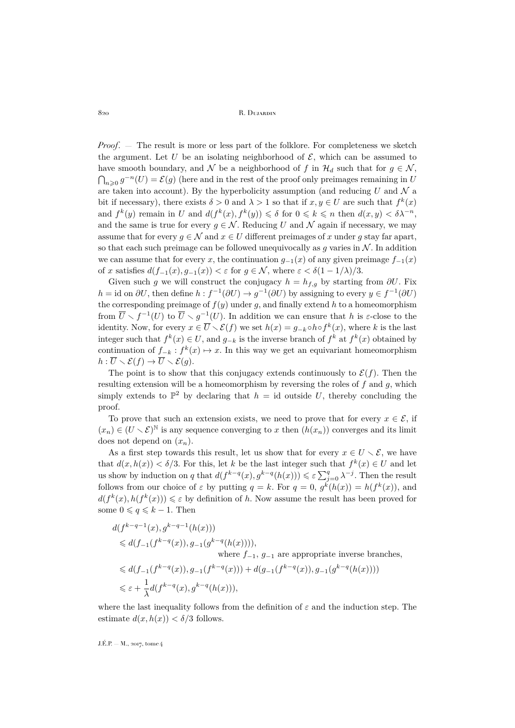*Proof*. — The result is more or less part of the folklore. For completeness we sketch the argument. Let U be an isolating neighborhood of  $\mathcal{E}$ , which can be assumed to have smooth boundary, and N be a neighborhood of f in  $\mathcal{H}_d$  such that for  $g \in \mathcal{N}$ ,  $\bigcap_{n\geqslant 0} g^{-n}(U)=\mathcal{E}(g)$  (here and in the rest of the proof only preimages remaining in U are taken into account). By the hyperbolicity assumption (and reducing  $U$  and  $\mathcal N$  a bit if necessary), there exists  $\delta > 0$  and  $\lambda > 1$  so that if  $x, y \in U$  are such that  $f^k(x)$ and  $f^k(y)$  remain in U and  $d(f^k(x), f^k(y)) \leq \delta$  for  $0 \leq k \leq n$  then  $d(x, y) < \delta \lambda^{-n}$ , and the same is true for every  $q \in \mathcal{N}$ . Reducing U and N again if necessary, we may assume that for every  $g \in \mathcal{N}$  and  $x \in U$  different preimages of x under g stay far apart, so that each such preimage can be followed unequivocally as g varies in  $\mathcal N$ . In addition we can assume that for every x, the continuation  $q_{-1}(x)$  of any given preimage  $f_{-1}(x)$ of x satisfies  $d(f_{-1}(x), g_{-1}(x)) < \varepsilon$  for  $g \in \mathcal{N}$ , where  $\varepsilon < \delta(1 - 1/\lambda)/3$ .

Given such g we will construct the conjugacy  $h = h_{f,q}$  by starting from  $\partial U$ . Fix  $h = id$  on  $\partial U$ , then define  $h : f^{-1}(\partial U) \to g^{-1}(\partial U)$  by assigning to every  $y \in f^{-1}(\partial U)$ the corresponding preimage of  $f(y)$  under g, and finally extend h to a homeomorphism from  $\overline{U} \setminus f^{-1}(U)$  to  $\overline{U} \setminus g^{-1}(U)$ . In addition we can ensure that h is  $\varepsilon$ -close to the identity. Now, for every  $x \in \overline{U} \setminus \mathcal{E}(f)$  we set  $h(x) = g_{-k} \circ h \circ f^k(x)$ , where k is the last integer such that  $f^k(x) \in U$ , and  $g_{-k}$  is the inverse branch of  $f^k$  at  $f^k(x)$  obtained by continuation of  $f_{-k}: f^k(x) \mapsto x$ . In this way we get an equivariant homeomorphism  $h: \overline{U} \setminus \mathcal{E}(f) \to \overline{U} \setminus \mathcal{E}(g).$ 

The point is to show that this conjugacy extends continuously to  $\mathcal{E}(f)$ . Then the resulting extension will be a homeomorphism by reversing the roles of  $f$  and  $g$ , which simply extends to  $\mathbb{P}^2$  by declaring that  $h = id$  outside U, thereby concluding the proof.

To prove that such an extension exists, we need to prove that for every  $x \in \mathcal{E}$ , if  $(x_n) \in (U \setminus \mathcal{E})^{\mathbb{N}}$  is any sequence converging to x then  $(h(x_n))$  converges and its limit does not depend on  $(x_n)$ .

As a first step towards this result, let us show that for every  $x \in U \setminus \mathcal{E}$ , we have that  $d(x, h(x)) < \delta/3$ . For this, let k be the last integer such that  $f^k(x) \in U$  and let us show by induction on q that  $d(f^{k-q}(x), g^{k-q}(h(x))) \leq \varepsilon \sum_{j=0}^q \lambda^{-j}$ . Then the result follows from our choice of  $\varepsilon$  by putting  $q = k$ . For  $q = 0$ ,  $g^k(h(x)) = h(f^k(x))$ , and  $d(f^k(x), h(f^k(x))) \leq \varepsilon$  by definition of h. Now assume the result has been proved for some  $0 \leqslant q \leqslant k - 1$ . Then

$$
\begin{aligned} &d(f^{k-q-1}(x),g^{k-q-1}(h(x)))\\ &\leqslant d(f_{-1}(f^{k-q}(x)),g_{-1}(g^{k-q}(h(x)))) ,\\ &\text{where }f_{-1},\,g_{-1}\text{ are appropriate inverse branches},\\ &\leqslant d(f_{-1}(f^{k-q}(x)),g_{-1}(f^{k-q}(x))) + d(g_{-1}(f^{k-q}(x)),g_{-1}(g^{k-q}(h(x))))\\ &\leqslant \varepsilon + \frac{1}{\lambda}d(f^{k-q}(x),g^{k-q}(h(x))), \end{aligned}
$$

where the last inequality follows from the definition of  $\varepsilon$  and the induction step. The estimate  $d(x, h(x)) < \delta/3$  follows.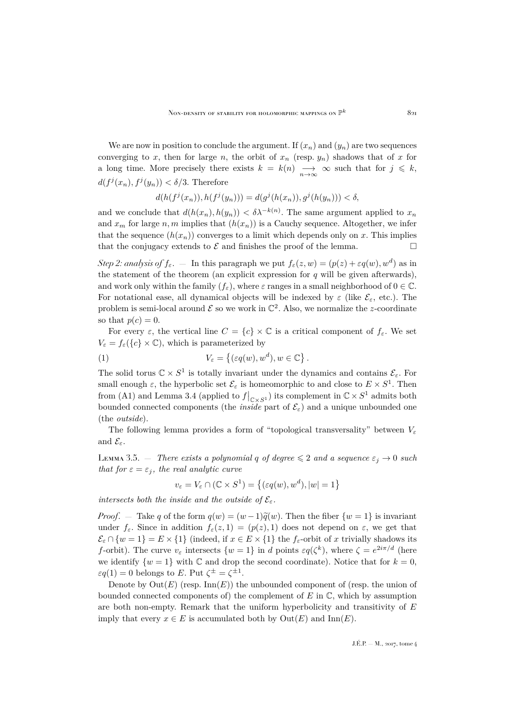We are now in position to conclude the argument. If  $(x_n)$  and  $(y_n)$  are two sequences converging to x, then for large n, the orbit of  $x_n$  (resp.  $y_n$ ) shadows that of x for a long time. More precisely there exists  $k = k(n) \longrightarrow_{n \to \infty} \infty$  such that for  $j \leq k$ ,  $d(f^j(x_n), f^j(y_n)) < \delta/3$ . Therefore

$$
d(h(f^{j}(x_{n})), h(f^{j}(y_{n}))) = d(g^{j}(h(x_{n})), g^{j}(h(y_{n}))) < \delta,
$$

and we conclude that  $d(h(x_n), h(y_n)) < \delta \lambda^{-k(n)}$ . The same argument applied to  $x_n$ and  $x_m$  for large n, m implies that  $(h(x_n))$  is a Cauchy sequence. Altogether, we infer that the sequence  $(h(x_n))$  converges to a limit which depends only on x. This implies that the conjugacy extends to  $\mathcal E$  and finishes the proof of the lemma.

*Step 2: analysis of*  $f_{\varepsilon}$ .  $-$  In this paragraph we put  $f_{\varepsilon}(z, w) = (p(z) + \varepsilon q(w), w^d)$  as in the statement of the theorem (an explicit expression for  $q$  will be given afterwards), and work only within the family  $(f_{\varepsilon})$ , where  $\varepsilon$  ranges in a small neighborhood of  $0 \in \mathbb{C}$ . For notational ease, all dynamical objects will be indexed by  $\varepsilon$  (like  $\mathcal{E}_{\varepsilon}$ , etc.). The problem is semi-local around  $\mathcal E$  so we work in  $\mathbb C^2$ . Also, we normalize the z-coordinate so that  $p(c) = 0$ .

For every  $\varepsilon$ , the vertical line  $C = \{c\} \times \mathbb{C}$  is a critical component of  $f_{\varepsilon}$ . We set  $V_{\varepsilon} = f_{\varepsilon}(\{c\} \times \mathbb{C})$ , which is parameterized by

<span id="page-9-1"></span>(1) 
$$
V_{\varepsilon} = \{ (\varepsilon q(w), w^d), w \in \mathbb{C} \}.
$$

The solid torus  $\mathbb{C} \times S^1$  is totally invariant under the dynamics and contains  $\mathcal{E}_{\varepsilon}$ . For small enough  $\varepsilon$ , the hyperbolic set  $\mathcal{E}_{\varepsilon}$  is homeomorphic to and close to  $E \times S^1$ . Then from (A1) and Lemma [3.4](#page-7-0) (applied to  $f|_{\mathbb{C}\times S^1}$ ) its complement in  $\mathbb{C}\times S^1$  admits both bounded connected components (the *inside* part of  $\mathcal{E}_{\varepsilon}$ ) and a unique unbounded one (the *outside*).

The following lemma provides a form of "topological transversality" between  $V_{\varepsilon}$ and  $\mathcal{E}_{\varepsilon}$ .

<span id="page-9-0"></span>LEMMA 3.5. — *There exists a polynomial q of degree*  $\leq 2$  *and a sequence*  $\varepsilon_i \to 0$  *such that for*  $\varepsilon = \varepsilon_j$ *, the real analytic curve* 

$$
v_{\varepsilon} = V_{\varepsilon} \cap (\mathbb{C} \times S^1) = \{ (\varepsilon q(w), w^d), |w| = 1 \}
$$

*intersects both the inside and the outside of*  $\mathcal{E}_{\varepsilon}$ .

*Proof.* — Take q of the form  $q(w) = (w-1)\tilde{q}(w)$ . Then the fiber  $\{w=1\}$  is invariant under  $f_{\varepsilon}$ . Since in addition  $f_{\varepsilon}(z, 1) = (p(z), 1)$  does not depend on  $\varepsilon$ , we get that  $\mathcal{E}_{\varepsilon} \cap \{w=1\} = E \times \{1\}$  (indeed, if  $x \in E \times \{1\}$  the  $f_{\varepsilon}$ -orbit of x trivially shadows its f-orbit). The curve  $v_{\varepsilon}$  intersects  $\{w=1\}$  in d points  $\varepsilon q(\zeta^k)$ , where  $\zeta=e^{2i\pi/d}$  (here we identify  $\{w=1\}$  with C and drop the second coordinate). Notice that for  $k=0$ ,  $\varepsilon q(1) = 0$  belongs to E. Put  $\zeta^{\pm} = \zeta^{\pm 1}$ .

Denote by  $Out(E)$  (resp. Inn(E)) the unbounded component of (resp. the union of bounded connected components of) the complement of  $E$  in  $\mathbb C$ , which by assumption are both non-empty. Remark that the uniform hyperbolicity and transitivity of  $E$ imply that every  $x \in E$  is accumulated both by  $Out(E)$  and  $Inn(E)$ .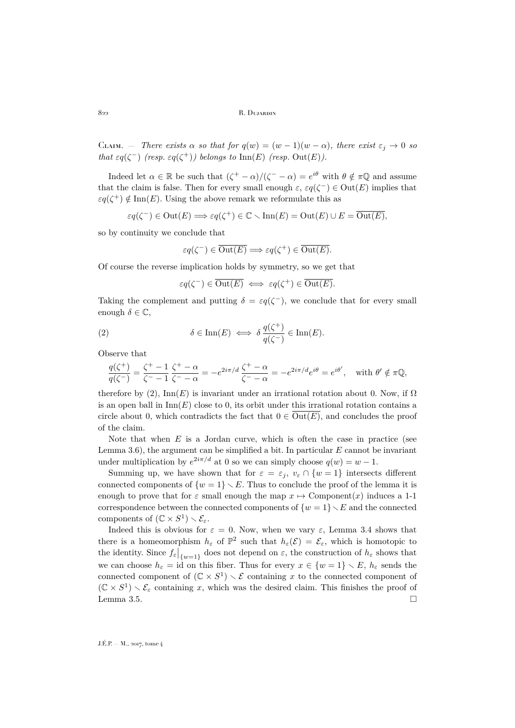CLAIM. — *There exists*  $\alpha$  *so that for*  $q(w) = (w - 1)(w - \alpha)$ *, there exist*  $\varepsilon_j \to 0$  *so that*  $\epsilon q(\zeta^-)$  *(resp.*  $\epsilon q(\zeta^+)$ *) belongs to* Inn(E) *(resp.* Out(E)*)*.

Indeed let  $\alpha \in \mathbb{R}$  be such that  $(\zeta^+ - \alpha)/(\zeta^- - \alpha) = e^{i\theta}$  with  $\theta \notin \pi\mathbb{Q}$  and assume that the claim is false. Then for every small enough  $\varepsilon$ ,  $\varepsilon q(\zeta^-) \in \text{Out}(E)$  implies that  $\varepsilon q(\zeta^+) \notin \text{Inn}(E)$ . Using the above remark we reformulate this as

$$
\varepsilon q(\zeta^-) \in \text{Out}(E) \Longrightarrow \varepsilon q(\zeta^+) \in \mathbb{C} \smallsetminus \text{Inn}(E) = \text{Out}(E) \cup E = \overline{\text{Out}(E)},
$$

so by continuity we conclude that

$$
\varepsilon q(\zeta^-) \in \overline{\text{Out}(E)} \Longrightarrow \varepsilon q(\zeta^+) \in \overline{\text{Out}(E)}.
$$

Of course the reverse implication holds by symmetry, so we get that

<span id="page-10-0"></span>
$$
\varepsilon q(\zeta^-) \in \overline{\text{Out}(E)} \iff \varepsilon q(\zeta^+) \in \overline{\text{Out}(E)}.
$$

Taking the complement and putting  $\delta = \varepsilon q(\zeta^-)$ , we conclude that for every small enough  $\delta \in \mathbb{C}$ ,

(2) 
$$
\delta \in \text{Inn}(E) \iff \delta \frac{q(\zeta^+)}{q(\zeta^-)} \in \text{Inn}(E).
$$

Observe that

$$
\frac{q(\zeta^{+})}{q(\zeta^{-})} = \frac{\zeta^{+} - 1}{\zeta^{-} - 1} \frac{\zeta^{+} - \alpha}{\zeta^{-} - \alpha} = -e^{2i\pi/d} \frac{\zeta^{+} - \alpha}{\zeta^{-} - \alpha} = -e^{2i\pi/d} e^{i\theta} = e^{i\theta'}, \text{ with } \theta' \notin \pi\mathbb{Q},
$$

therefore by [\(2\)](#page-10-0),  $\text{Inn}(E)$  is invariant under an irrational rotation about 0. Now, if  $\Omega$ is an open ball in  $\text{Inn}(E)$  close to 0, its orbit under this irrational rotation contains a circle about 0, which contradicts the fact that  $0 \in \overline{\text{Out}(E)}$ , and concludes the proof of the claim.

Note that when  $E$  is a Jordan curve, which is often the case in practice (see Lemma  $3.6$ ), the argument can be simplified a bit. In particular  $E$  cannot be invariant under multiplication by  $e^{2i\pi/d}$  at 0 so we can simply choose  $q(w) = w - 1$ .

Summing up, we have shown that for  $\varepsilon = \varepsilon_j$ ,  $v_{\varepsilon} \cap \{w = 1\}$  intersects different connected components of  $\{w=1\} \setminus E$ . Thus to conclude the proof of the lemma it is enough to prove that for  $\varepsilon$  small enough the map  $x \mapsto$  Component $(x)$  induces a 1-1 correspondence between the connected components of  $\{w=1\}$ , E and the connected components of  $(\mathbb{C} \times S^1) \setminus \mathcal{E}_{\varepsilon}$ .

Indeed this is obvious for  $\varepsilon = 0$ . Now, when we vary  $\varepsilon$ , Lemma [3.4](#page-7-0) shows that there is a homeomorphism  $h_{\varepsilon}$  of  $\mathbb{P}^2$  such that  $h_{\varepsilon}(\mathcal{E}) = \mathcal{E}_{\varepsilon}$ , which is homotopic to the identity. Since  $f_{\varepsilon}|_{\{w=1\}}$  does not depend on  $\varepsilon$ , the construction of  $h_{\varepsilon}$  shows that we can choose  $h_{\varepsilon} = id$  on this fiber. Thus for every  $x \in \{w = 1\} \setminus E$ ,  $h_{\varepsilon}$  sends the connected component of  $(\mathbb{C} \times S^1) \times \mathcal{E}$  containing x to the connected component of  $(\mathbb{C} \times S^1) \setminus \mathcal{E}_{\varepsilon}$  containing x, which was the desired claim. This finishes the proof of Lemma [3.5.](#page-9-0)  $\Box$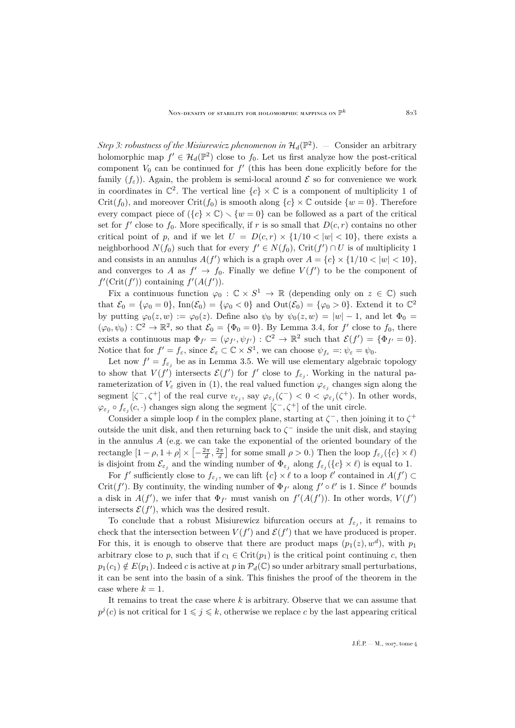*Step 3: robustness of the Misiurewicz phenomenon in*  $\mathcal{H}_d(\mathbb{P}^2)$ .  $-$  Consider an arbitrary holomorphic map  $f' \in \mathcal{H}_d(\mathbb{P}^2)$  close to  $f_0$ . Let us first analyze how the post-critical component  $V_0$  can be continued for  $f'$  (this has been done explicitly before for the family  $(f_{\varepsilon})$ ). Again, the problem is semi-local around  $\mathcal E$  so for convenience we work in coordinates in  $\mathbb{C}^2$ . The vertical line  $\{c\} \times \mathbb{C}$  is a component of multiplicity 1 of Crit(f<sub>0</sub>), and moreover Crit(f<sub>0</sub>) is smooth along  ${c} \times \mathbb{C}$  outside  ${w = 0}$ . Therefore every compact piece of  $({c} \times \mathbb{C}) \setminus {w = 0}$  can be followed as a part of the critical set for  $f'$  close to  $f_0$ . More specifically, if r is so small that  $D(c, r)$  contains no other critical point of p, and if we let  $U = D(c, r) \times \{1/10 < |w| < 10\}$ , there exists a neighborhood  $N(f_0)$  such that for every  $f' \in N(f_0)$ ,  $\text{Crit}(f') \cap U$  is of multiplicity 1 and consists in an annulus  $A(f')$  which is a graph over  $A = \{c\} \times \{1/10 < |w| < 10\}$ , and converges to A as  $f' \to f_0$ . Finally we define  $V(f')$  to be the component of  $f'(\operatorname{Crit}(f'))$  containing  $f'(A(f'))$ .

Fix a continuous function  $\varphi_0 : \mathbb{C} \times S^1 \to \mathbb{R}$  (depending only on  $z \in \mathbb{C}$ ) such that  $\mathcal{E}_0 = {\varphi_0 = 0}$ ,  $\text{Inn}(\mathcal{E}_0) = {\varphi_0 < 0}$  and  $\text{Out}(\mathcal{E}_0) = {\varphi_0 > 0}$ . Extend it to  $\mathbb{C}^2$ by putting  $\varphi_0(z, w) := \varphi_0(z)$ . Define also  $\psi_0$  by  $\psi_0(z, w) = |w| - 1$ , and let  $\Phi_0 =$  $(\varphi_0, \psi_0) : \mathbb{C}^2 \to \mathbb{R}^2$ , so that  $\mathcal{E}_0 = {\Phi_0 = 0}$ . By Lemma [3.4,](#page-7-0) for f' close to  $f_0$ , there exists a continuous map  $\Phi_{f'} = (\varphi_{f'}, \psi_{f'}) : \mathbb{C}^2 \to \mathbb{R}^2$  such that  $\mathcal{E}(f') = {\Phi_{f'} = 0}.$ Notice that for  $f' = f_{\varepsilon}$ , since  $\mathcal{E}_{\varepsilon} \subset \mathbb{C} \times S^1$ , we can choose  $\psi_{f_{\varepsilon}} =: \psi_{\varepsilon} = \psi_0$ .

Let now  $f' = f_{\varepsilon_j}$  be as in Lemma [3.5.](#page-9-0) We will use elementary algebraic topology to show that  $V(f')$  intersects  $\mathcal{E}(f')$  for f' close to  $f_{\varepsilon_j}$ . Working in the natural parameterization of  $V_{\varepsilon}$  given in [\(1\)](#page-9-1), the real valued function  $\varphi_{\varepsilon_j}$  changes sign along the segment  $[\zeta^-, \zeta^+]$  of the real curve  $v_{\varepsilon_j}$ , say  $\varphi_{\varepsilon_j}(\zeta^-) < 0 < \varphi_{\varepsilon_j}(\zeta^+)$ . In other words,  $\varphi_{\varepsilon_j} \circ f_{\varepsilon_j}(c, \cdot)$  changes sign along the segment  $[\zeta^-, \zeta^+]$  of the unit circle.

Consider a simple loop  $\ell$  in the complex plane, starting at  $\zeta^-$ , then joining it to  $\zeta^+$ outside the unit disk, and then returning back to  $\zeta^-$  inside the unit disk, and staying in the annulus  $A$  (e.g. we can take the exponential of the oriented boundary of the rectangle  $[1-\rho, 1+\rho] \times [-\frac{2\pi}{d}, \frac{2\pi}{d}]$  for some small  $\rho > 0$ .) Then the loop  $f_{\varepsilon_j}(\{c\} \times \ell)$ is disjoint from  $\mathcal{E}_{\varepsilon_j}$  and the winding number of  $\Phi_{\varepsilon_j}$  along  $f_{\varepsilon_j}(\{c\} \times \ell)$  is equal to 1.

For f' sufficiently close to  $f_{\varepsilon_j}$ , we can lift  $\{c\} \times \ell$  to a loop  $\ell'$  contained in  $A(f') \subset$ Crit(f'). By continuity, the winding number of  $\Phi_{f'}$  along  $f' \circ \ell'$  is 1. Since  $\ell'$  bounds a disk in  $A(f')$ , we infer that  $\Phi_{f'}$  must vanish on  $f'(A(f'))$ . In other words,  $V(f')$ intersects  $\mathcal{E}(f')$ , which was the desired result.

To conclude that a robust Misiurewicz bifurcation occurs at  $f_{\varepsilon_j}$ , it remains to check that the intersection between  $V(f')$  and  $\mathcal{E}(f')$  that we have produced is proper. For this, it is enough to observe that there are product maps  $(p_1(z), w^d)$ , with  $p_1$ arbitrary close to p, such that if  $c_1 \in \text{Crit}(p_1)$  is the critical point continuing c, then  $p_1(c_1) \notin E(p_1)$ . Indeed c is active at p in  $\mathcal{P}_d(\mathbb{C})$  so under arbitrary small perturbations, it can be sent into the basin of a sink. This finishes the proof of the theorem in the case where  $k = 1$ .

It remains to treat the case where k is arbitrary. Observe that we can assume that  $p^j(c)$  is not critical for  $1 \leqslant j \leqslant k$ , otherwise we replace c by the last appearing critical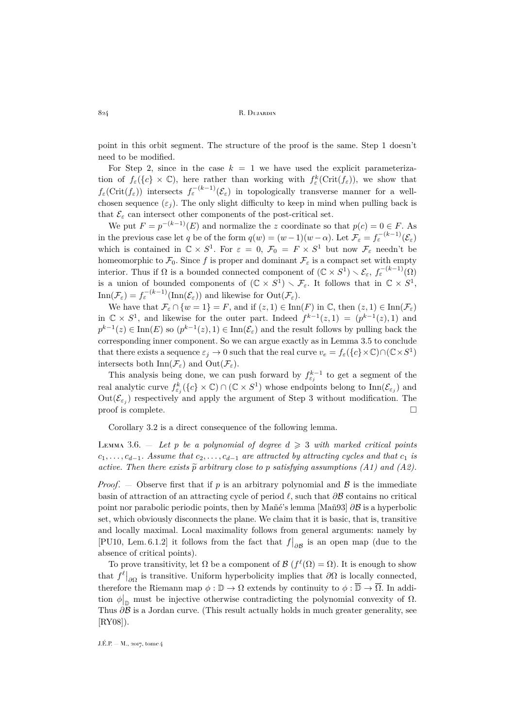point in this orbit segment. The structure of the proof is the same. Step 1 doesn't need to be modified.

For Step 2, since in the case  $k = 1$  we have used the explicit parameterization of  $f_{\varepsilon}(\{c\} \times \mathbb{C})$ , here rather than working with  $f_{\varepsilon}^{k}(\text{Crit}(f_{\varepsilon}))$ , we show that  $f_{\varepsilon}$ (Crit $(f_{\varepsilon})$ ) intersects  $f_{\varepsilon}^{-(k-1)}(\mathcal{E}_{\varepsilon})$  in topologically transverse manner for a wellchosen sequence  $(\varepsilon_i)$ . The only slight difficulty to keep in mind when pulling back is that  $\mathcal{E}_{\varepsilon}$  can intersect other components of the post-critical set.

We put  $F = p^{-(k-1)}(E)$  and normalize the z coordinate so that  $p(c) = 0 \in F$ . As in the previous case let q be of the form  $q(w) = (w-1)(w-\alpha)$ . Let  $\mathcal{F}_{\varepsilon} = f_{\varepsilon}^{-(k-1)}(\mathcal{E}_{\varepsilon})$ which is contained in  $\mathbb{C} \times S^1$ . For  $\varepsilon = 0$ ,  $\mathcal{F}_0 = F \times S^1$  but now  $\mathcal{F}_{\varepsilon}$  needn't be homeomorphic to  $\mathcal{F}_0$ . Since f is proper and dominant  $\mathcal{F}_{\varepsilon}$  is a compact set with empty interior. Thus if  $\Omega$  is a bounded connected component of  $(\mathbb{C} \times S^1) \setminus \mathcal{E}_{\varepsilon}, f_{\varepsilon}^{-(k-1)}(\Omega)$ is a union of bounded components of  $(\mathbb{C} \times S^1) \setminus \mathcal{F}_{\varepsilon}$ . It follows that in  $\mathbb{C} \times S^1$ ,  $\text{Inn}(\mathcal{F}_{\varepsilon}) = f_{\varepsilon}^{-(k-1)}(\text{Inn}(\mathcal{E}_{\varepsilon}))$  and likewise for  $\text{Out}(\mathcal{F}_{\varepsilon})$ .

We have that  $\mathcal{F}_{\varepsilon} \cap \{w=1\} = F$ , and if  $(z,1) \in \text{Inn}(F)$  in  $\mathbb{C}$ , then  $(z,1) \in \text{Inn}(\mathcal{F}_{\varepsilon})$ in  $\mathbb{C} \times S^1$ , and likewise for the outer part. Indeed  $f^{k-1}(z,1) = (p^{k-1}(z),1)$  and  $p^{k-1}(z) \in \text{Inn}(E)$  so  $(p^{k-1}(z), 1) \in \text{Inn}(\mathcal{E}_{\varepsilon})$  and the result follows by pulling back the corresponding inner component. So we can argue exactly as in Lemma [3.5](#page-9-0) to conclude that there exists a sequence  $\varepsilon_j \to 0$  such that the real curve  $v_e = f_\varepsilon(\{c\} \times \mathbb{C}) \cap (\mathbb{C} \times S^1)$ intersects both  $\text{Inn}(\mathcal{F}_{\varepsilon})$  and  $\text{Out}(\mathcal{F}_{\varepsilon})$ .

This analysis being done, we can push forward by  $f_{\varepsilon_j}^{k-1}$  to get a segment of the real analytic curve  $f_{\varepsilon_j}^k(\{c\}\times\mathbb{C})\cap(\mathbb{C}\times S^1)$  whose endpoints belong to  $\text{Inn}(\mathcal{E}_{\varepsilon_j})$  and  $Out(\mathcal{E}_{\varepsilon_j})$  respectively and apply the argument of Step 3 without modification. The  $\Box$  proof is complete.

Corollary [3.2](#page-7-1) is a direct consequence of the following lemma.

<span id="page-12-0"></span>LEMMA 3.6.  $-$  *Let* p *be a polynomial of degree*  $d \geq 3$  *with marked critical points*  $c_1, \ldots, c_{d-1}$ . Assume that  $c_2, \ldots, c_{d-1}$  are attracted by attracting cycles and that  $c_1$  is *active. Then there exists*  $\tilde{p}$  *arbitrary close to p satisfying assumptions (A1) and (A2).* 

*Proof.* — Observe first that if p is an arbitrary polynomial and  $\beta$  is the immediate basin of attraction of an attracting cycle of period  $\ell$ , such that  $\partial \mathcal{B}$  contains no critical point nor parabolic periodic points, then by Mañé's lemma [\[Mañ93\]](#page-31-8)  $\partial \mathcal{B}$  is a hyperbolic set, which obviously disconnects the plane. We claim that it is basic, that is, transitive and locally maximal. Local maximality follows from general arguments: namely by [\[PU10,](#page-31-9) Lem. 6.1.2] it follows from the fact that  $f|_{\partial \mathcal{B}}$  is an open map (due to the absence of critical points).

To prove transitivity, let  $\Omega$  be a component of  $\mathcal{B}(f^{\ell}(\Omega) = \Omega)$ . It is enough to show that  $f^{\ell}|_{\partial\Omega}$  is transitive. Uniform hyperbolicity implies that  $\partial\Omega$  is locally connected, therefore the Riemann map  $\phi : \mathbb{D} \to \Omega$  extends by continuity to  $\phi : \overline{\mathbb{D}} \to \overline{\Omega}$ . In addition  $\phi|_{\mathbb{D}}$  must be injective otherwise contradicting the polynomial convexity of  $\Omega$ . Thus  $\partial \mathcal{B}$  is a Jordan curve. (This result actually holds in much greater generality, see [\[RY08\]](#page-31-10)).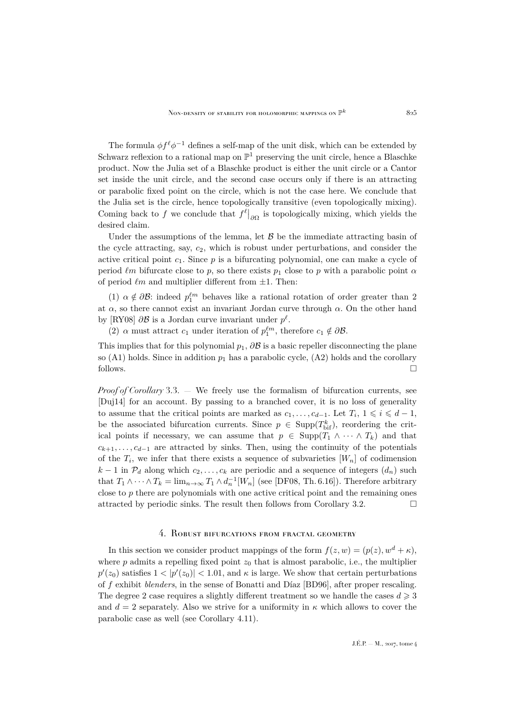The formula  $\phi f^{\ell} \phi^{-1}$  defines a self-map of the unit disk, which can be extended by Schwarz reflexion to a rational map on  $\mathbb{P}^1$  preserving the unit circle, hence a Blaschke product. Now the Julia set of a Blaschke product is either the unit circle or a Cantor set inside the unit circle, and the second case occurs only if there is an attracting or parabolic fixed point on the circle, which is not the case here. We conclude that the Julia set is the circle, hence topologically transitive (even topologically mixing). Coming back to f we conclude that  $f^{\ell}|_{\partial\Omega}$  is topologically mixing, which yields the desired claim.

Under the assumptions of the lemma, let  $\beta$  be the immediate attracting basin of the cycle attracting, say,  $c_2$ , which is robust under perturbations, and consider the active critical point  $c_1$ . Since  $p$  is a bifurcating polynomial, one can make a cycle of period  $\ell m$  bifurcate close to p, so there exists  $p_1$  close to p with a parabolic point  $\alpha$ of period  $\ell m$  and multiplier different from  $\pm 1$ . Then:

(1)  $\alpha \notin \partial \mathcal{B}$ : indeed  $p_1^{\ell m}$  behaves like a rational rotation of order greater than 2 at  $\alpha$ , so there cannot exist an invariant Jordan curve through  $\alpha$ . On the other hand by [\[RY08\]](#page-31-10)  $\partial \mathcal{B}$  is a Jordan curve invariant under  $p^{\ell}$ .

(2)  $\alpha$  must attract  $c_1$  under iteration of  $p_1^{\ell m}$ , therefore  $c_1 \notin \partial \mathcal{B}$ .

This implies that for this polynomial  $p_1$ ,  $\partial \mathcal{B}$  is a basic repeller disconnecting the plane so (A1) holds. Since in addition  $p_1$  has a parabolic cycle, (A2) holds and the corollary follows.

*Proof of Corollary* [3.3.](#page-7-2) — We freely use the formalism of bifurcation currents, see [\[Duj14\]](#page-30-10) for an account. By passing to a branched cover, it is no loss of generality to assume that the critical points are marked as  $c_1, \ldots, c_{d-1}$ . Let  $T_i$ ,  $1 \leq i \leq d-1$ , be the associated bifurcation currents. Since  $p \in \text{Supp}(T_{\text{bif}}^k)$ , reordering the critical points if necessary, we can assume that  $p \in \text{Supp}(T_1 \wedge \cdots \wedge T_k)$  and that  $c_{k+1}, \ldots, c_{d-1}$  are attracted by sinks. Then, using the continuity of the potentials of the  $T_i$ , we infer that there exists a sequence of subvarieties  $[W_n]$  of codimension  $k-1$  in  $\mathcal{P}_d$  along which  $c_2, \ldots, c_k$  are periodic and a sequence of integers  $(d_n)$  such that  $T_1 \wedge \cdots \wedge T_k = \lim_{n \to \infty} T_1 \wedge d_n^{-1}[W_n]$  (see [\[DF08,](#page-30-11) Th. 6.16]). Therefore arbitrary close to p there are polynomials with one active critical point and the remaining ones attracted by periodic sinks. The result then follows from Corollary [3.2.](#page-7-1)  $\Box$ 

## 4. Robust bifurcations from fractal geometry

<span id="page-13-0"></span>In this section we consider product mappings of the form  $f(z, w) = (p(z), w<sup>d</sup> + \kappa)$ , where  $p$  admits a repelling fixed point  $z_0$  that is almost parabolic, i.e., the multiplier  $p'(z_0)$  satisfies  $1 < |p'(z_0)| < 1.01$ , and  $\kappa$  is large. We show that certain perturbations of f exhibit *blenders*, in the sense of Bonatti and Díaz [\[BD96\]](#page-30-4), after proper rescaling. The degree 2 case requires a slightly different treatment so we handle the cases  $d \geq 3$ and  $d = 2$  separately. Also we strive for a uniformity in  $\kappa$  which allows to cover the parabolic case as well (see Corollary [4.11\)](#page-24-0).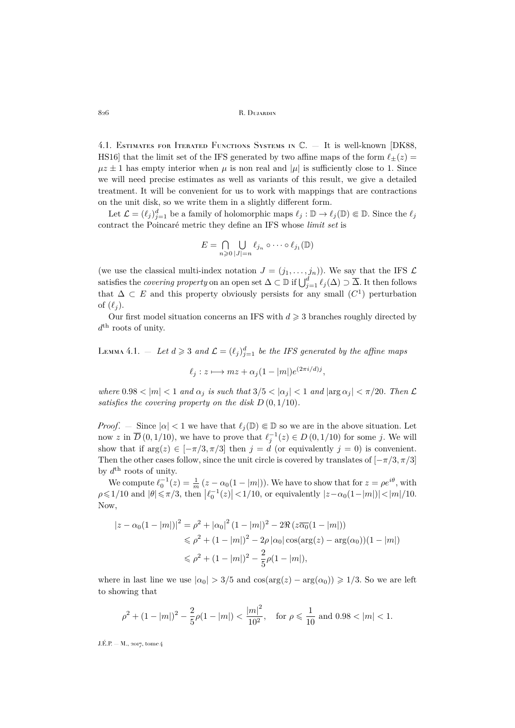<span id="page-14-1"></span>4.1. ESTIMATES FOR ITERATED FUNCTIONS SYSTEMS IN  $\mathbb{C}$ . – It is well-known [\[DK88,](#page-30-12) [HS16\]](#page-31-11) that the limit set of the IFS generated by two affine maps of the form  $\ell_+(z) =$  $\mu z \pm 1$  has empty interior when  $\mu$  is non real and  $|\mu|$  is sufficiently close to 1. Since we will need precise estimates as well as variants of this result, we give a detailed treatment. It will be convenient for us to work with mappings that are contractions on the unit disk, so we write them in a slightly different form.

Let  $\mathcal{L} = (\ell_j)_{j=1}^d$  be a family of holomorphic maps  $\ell_j : \mathbb{D} \to \ell_j(\mathbb{D}) \Subset \mathbb{D}$ . Since the  $\ell_j$ contract the Poincaré metric they define an IFS whose *limit set* is

$$
E = \bigcap_{n \geq 0} \bigcup_{|J|=n} \ell_{j_n} \circ \cdots \circ \ell_{j_1}(\mathbb{D})
$$

(we use the classical multi-index notation  $J = (j_1, \ldots, j_n)$ ). We say that the IFS  $\mathcal L$ satisfies the *covering property* on an open set  $\Delta \subset \mathbb{D}$  if  $\bigcup_{j=1}^d \ell_j(\Delta) \supset \overline{\Delta}$ . It then follows that  $\Delta \subset E$  and this property obviously persists for any small  $(C<sup>1</sup>)$  perturbation of  $(\ell_i)$ .

Our first model situation concerns an IFS with  $d \geq 3$  branches roughly directed by  $d<sup>th</sup>$  roots of unity.

<span id="page-14-0"></span>LEMMA 4.1.  $-$  Let  $d \geqslant 3$  and  $\mathcal{L} = (\ell_j)_{j=1}^d$  be the IFS generated by the affine maps

$$
\ell_j: z \longmapsto mz + \alpha_j(1 - |m|)e^{(2\pi i/d)j},
$$

where  $0.98 < |m| < 1$  and  $\alpha_i$  is such that  $3/5 < |\alpha_i| < 1$  and  $|\arg \alpha_i| < \pi/20$ . Then  $\mathcal{L}$ *satisfies the covering property on the disk* D (0, 1/10)*.*

*Proof.* – Since  $|\alpha| < 1$  we have that  $\ell_i(\mathbb{D}) \in \mathbb{D}$  so we are in the above situation. Let now z in  $\overline{D}(0,1/10)$ , we have to prove that  $\ell_j^{-1}(z) \in D(0,1/10)$  for some j. We will show that if  $\arg(z) \in [-\pi/3, \pi/3]$  then  $j = d$  (or equivalently  $j = 0$ ) is convenient. Then the other cases follow, since the unit circle is covered by translates of  $[-\pi/3, \pi/3]$ by  $d^{\text{th}}$  roots of unity.

We compute  $\ell_0^{-1}(z) = \frac{1}{m} (z - \alpha_0(1 - |m|))$ . We have to show that for  $z = \rho e^{i\theta}$ , with  $\rho \leq 1/10$  and  $|\theta| \leq \pi/3$ , then  $|\ell_0^{-1}(z)| < 1/10$ , or equivalently  $|z-\alpha_0(1-|m|)| < |m|/10$ . Now,

$$
|z - \alpha_0(1 - |m|)|^2 = \rho^2 + |\alpha_0|^2 (1 - |m|)^2 - 2\Re(z\overline{\alpha_0}(1 - |m|))
$$
  
\$\leq \rho^2 + (1 - |m|)^2 - 2\rho |\alpha\_0| \cos(\arg(z) - \arg(\alpha\_0))(1 - |m|)\$  
\$\leq \rho^2 + (1 - |m|)^2 - \frac{2}{5}\rho(1 - |m|),

where in last line we use  $|\alpha_0| > 3/5$  and  $\cos(\arg(z) - \arg(\alpha_0)) \ge 1/3$ . So we are left to showing that

$$
\rho^2+(1-|m|)^2-\frac{2}{5}\rho(1-|m|)<\frac{|m|^2}{10^2},\quad \text{for}\,\, \rho\leqslant \frac{1}{10}\,\, \text{and}\,\, 0.98<|m|<1.
$$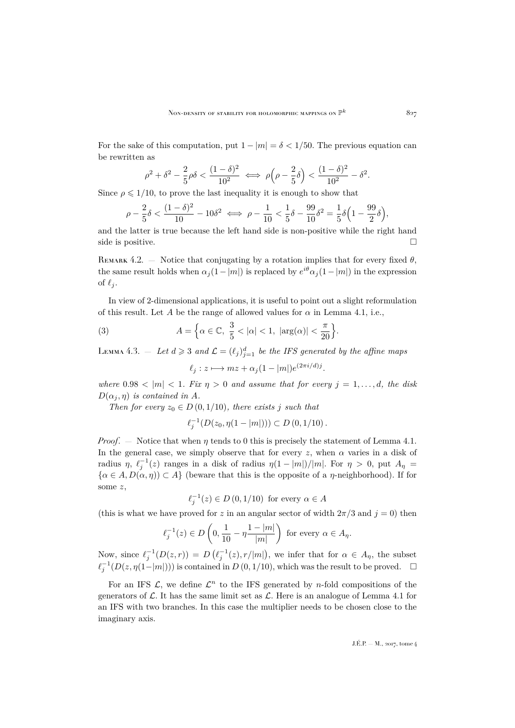For the sake of this computation, put  $1 - |m| = \delta < 1/50$ . The previous equation can be rewritten as

$$
\rho^2+\delta^2-\frac{2}{5}\rho\delta<\frac{(1-\delta)^2}{10^2}\iff\rho\Big(\rho-\frac{2}{5}\delta\Big)<\frac{(1-\delta)^2}{10^2}-\delta^2.
$$

Since  $\rho \leq 1/10$ , to prove the last inequality it is enough to show that

$$
\rho - \frac{2}{5}\delta < \frac{(1-\delta)^2}{10} - 10\delta^2 \iff \rho - \frac{1}{10} < \frac{1}{5}\delta - \frac{99}{10}\delta^2 = \frac{1}{5}\delta\left(1 - \frac{99}{2}\delta\right),
$$

and the latter is true because the left hand side is non-positive while the right hand side is positive.  $\Box$ 

<span id="page-15-2"></span>REMARK 4.2. — Notice that conjugating by a rotation implies that for every fixed  $\theta$ , the same result holds when  $\alpha_j(1-|m|)$  is replaced by  $e^{i\theta}\alpha_j(1-|m|)$  in the expression of  $\ell_i$ .

In view of 2-dimensional applications, it is useful to point out a slight reformulation of this result. Let A be the range of allowed values for  $\alpha$  in Lemma [4.1,](#page-14-0) i.e.,

(3) 
$$
A = \left\{ \alpha \in \mathbb{C}, \frac{3}{5} < |\alpha| < 1, |\arg(\alpha)| < \frac{\pi}{20} \right\}.
$$

<span id="page-15-1"></span>LEMMA 4.3.  $-$  Let  $d \geqslant 3$  and  $\mathcal{L} = (\ell_j)_{j=1}^d$  be the IFS generated by the affine maps

<span id="page-15-0"></span>
$$
\ell_j: z \longmapsto mz + \alpha_j(1 - |m|)e^{(2\pi i/d)j}.
$$

*where*  $0.98 < |m| < 1$ *. Fix*  $\eta > 0$  *and assume that for every*  $j = 1, \ldots, d$ *, the disk*  $D(\alpha_j, \eta)$  *is contained in A.* 

*Then for every*  $z_0 \in D(0, 1/10)$ *, there exists j such that* 

$$
\ell_j^{-1}(D(z_0, \eta(1-|m|))) \subset D(0, 1/10).
$$

*Proof.* — Notice that when  $\eta$  tends to 0 this is precisely the statement of Lemma [4.1.](#page-14-0) In the general case, we simply observe that for every z, when  $\alpha$  varies in a disk of radius  $\eta$ ,  $\ell_j^{-1}(z)$  ranges in a disk of radius  $\eta(1 - |m|)/|m|$ . For  $\eta > 0$ , put  $A_{\eta} =$  $\{\alpha \in A, D(\alpha, \eta) \subset A\}$  (beware that this is the opposite of a  $\eta$ -neighborhood). If for some z,

$$
\ell_j^{-1}(z) \in D\left(0, 1/10\right) \text{ for every } \alpha \in A
$$

(this is what we have proved for z in an angular sector of width  $2\pi/3$  and  $j = 0$ ) then

$$
\ell_j^{-1}(z) \in D\left(0, \frac{1}{10} - \eta \frac{1 - |m|}{|m|}\right) \text{ for every } \alpha \in A_{\eta}.
$$

Now, since  $\ell_j^{-1}(D(z,r)) = D(\ell_j^{-1}(z), r/|m|)$ , we infer that for  $\alpha \in A_\eta$ , the subset  $\ell_j^{-1}(D(z, \eta(1-|m|)))$  is contained in D  $(0, 1/10)$ , which was the result to be proved.  $\Box$ 

For an IFS  $\mathcal{L}$ , we define  $\mathcal{L}^n$  to the IFS generated by *n*-fold compositions of the generators of  $\mathcal{L}$ . It has the same limit set as  $\mathcal{L}$ . Here is an analogue of Lemma [4.1](#page-14-0) for an IFS with two branches. In this case the multiplier needs to be chosen close to the imaginary axis.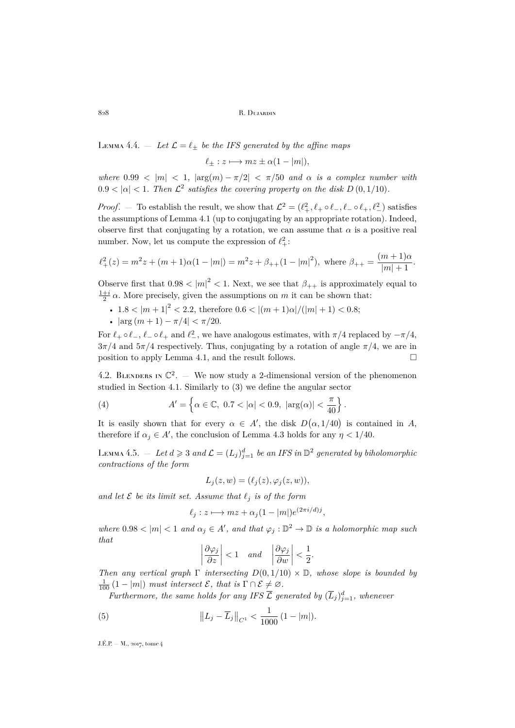<span id="page-16-1"></span>LEMMA 4.4.  $\qquad$  *Let*  $\mathcal{L} = \ell_{\pm}$  *be the IFS generated by the affine maps* 

$$
\ell_{\pm}: z \longmapsto mz \pm \alpha(1-|m|),
$$

*where*  $0.99 < |m| < 1$ ,  $|\arg(m) - \pi/2| < \pi/50$  *and*  $\alpha$  *is a complex number with*  $0.9 < |\alpha| < 1$ . Then  $\mathcal{L}^2$  satisfies the covering property on the disk  $D(0, 1/10)$ .

*Proof.* – To establish the result, we show that  $\mathcal{L}^2 = (\ell_+^2, \ell_+ \circ \ell_-, \ell_- \circ \ell_+, \ell_-^2)$  satisfies the assumptions of Lemma [4.1](#page-14-0) (up to conjugating by an appropriate rotation). Indeed, observe first that conjugating by a rotation, we can assume that  $\alpha$  is a positive real number. Now, let us compute the expression of  $\ell^2_+$ :

$$
\ell_+^2(z) = m^2 z + (m+1)\alpha(1-|m|) = m^2 z + \beta_{++}(1-|m|^2), \text{ where } \beta_{++} = \frac{(m+1)\alpha}{|m|+1}.
$$

Observe first that  $0.98 < |m|^2 < 1$ . Next, we see that  $\beta_{++}$  is approximately equal to  $\frac{1+i}{2}$   $\alpha$ . More precisely, given the assumptions on m it can be shown that:

- 1.8 <  $|m+1|^2$  < 2.2, therefore  $0.6$  <  $|(m+1)\alpha|/(|m|+1)$  < 0.8;
- $|\arg(m+1)-\pi/4| < \pi/20$ .

For  $\ell_+ \circ \ell_-, \ell_- \circ \ell_+$  and  $\ell_-^2$ , we have analogous estimates, with  $\pi/4$  replaced by  $-\pi/4$ ,  $3\pi/4$  and  $5\pi/4$  respectively. Thus, conjugating by a rotation of angle  $\pi/4$ , we are in position to apply Lemma [4.1,](#page-14-0) and the result follows.  $\Box$ 

4.2. BLENDERS IN  $\mathbb{C}^2$ . — We now study a 2-dimensional version of the phenomenon studied in Section [4.1.](#page-14-1) Similarly to [\(3\)](#page-15-0) we define the angular sector

<span id="page-16-3"></span>(4) 
$$
A' = \left\{ \alpha \in \mathbb{C}, \ 0.7 < |\alpha| < 0.9, \ |\arg(\alpha)| < \frac{\pi}{40} \right\}.
$$

It is easily shown that for every  $\alpha \in A'$ , the disk  $D(\alpha, 1/40)$  is contained in A, therefore if  $\alpha_j \in A'$ , the conclusion of Lemma [4.3](#page-15-1) holds for any  $\eta < 1/40$ .

<span id="page-16-2"></span>Lemma 4.5.  $-$  Let  $d \geqslant 3$  and  $\mathcal{L} = (L_j)_{j=1}^d$  be an IFS in  $\mathbb{D}^2$  generated by biholomorphic *contractions of the form*

$$
L_j(z, w) = (\ell_j(z), \varphi_j(z, w)),
$$

and let  $\mathcal E$  be its limit set. Assume that  $\ell_i$  is of the form

$$
\ell_j: z \longmapsto mz + \alpha_j(1 - |m|)e^{(2\pi i/d)j},
$$

where  $0.98 < |m| < 1$  and  $\alpha_j \in A'$ , and that  $\varphi_j : \mathbb{D}^2 \to \mathbb{D}$  is a holomorphic map such *that*

<span id="page-16-0"></span>
$$
\left|\frac{\partial\varphi_j}{\partial z}\right|<1 \quad and \quad \left|\frac{\partial\varphi_j}{\partial w}\right|<\frac{1}{2}.
$$

*Then any vertical graph*  $\Gamma$  *intersecting*  $D(0, 1/10) \times \mathbb{D}$ *, whose slope is bounded by*  $\frac{1}{100} (1 - |m|)$  *must intersect*  $\mathcal{E}$ *, that is*  $\Gamma \cap \mathcal{E} \neq \emptyset$ *.* 

*Furthermore, the same holds for any IFS*  $\overline{\mathcal{L}}$  *generated by*  $(\overline{L}_j)_{j=1}^d$ *, whenever* 

(5) 
$$
\left\| L_j - \overline{L}_j \right\|_{C^1} < \frac{1}{1000} \left( 1 - |m| \right).
$$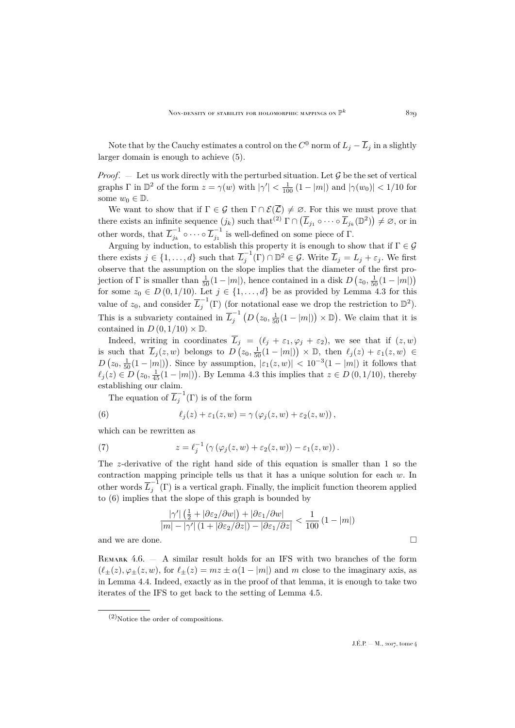Note that by the Cauchy estimates a control on the  $C^0$  norm of  $L_j - \overline{L}_j$  in a slightly larger domain is enough to achieve [\(5\)](#page-16-0).

*Proof.* — Let us work directly with the perturbed situation. Let  $\mathcal G$  be the set of vertical graphs  $\Gamma$  in  $\mathbb{D}^2$  of the form  $z = \gamma(w)$  with  $|\gamma'| < \frac{1}{100} (1 - |m|)$  and  $|\gamma(w_0)| < 1/10$  for some  $w_0 \in \mathbb{D}$ .

We want to show that if  $\Gamma \in \mathcal{G}$  then  $\Gamma \cap \mathcal{E}(\overline{\mathcal{L}}) \neq \emptyset$ . For this we must prove that there exists an infinite sequence  $(j_k)$  such that<sup>(2)</sup>  $\Gamma \cap (\overline{L}_{j_1} \circ \cdots \circ \overline{L}_{j_k}(\mathbb{D}^2)) \neq \emptyset$ , or in other words, that  $\overline{L}_{i_k}^{-1}$  $\overline{L}_{j_k}^{-1} \circ \cdots \circ \overline{L}_{j_1}^{-1}$  $j_1$ <sup>1</sup> is well-defined on some piece of Γ.

Arguing by induction, to establish this property it is enough to show that if  $\Gamma \in \mathcal{G}$ there exists  $j \in \{1, ..., d\}$  such that  $\overline{L}_i^{-1}$  $\overline{L}_j^{-1}(\Gamma) \cap \mathbb{D}^2 \in \mathcal{G}$ . Write  $\overline{L}_j = L_j + \varepsilon_j$ . We first observe that the assumption on the slope implies that the diameter of the first projection of  $\Gamma$  is smaller than  $\frac{1}{50}(1-|m|)$ , hence contained in a disk  $D(z_0, \frac{1}{50}(1-|m|))$ for some  $z_0 \in D(0, 1/10)$ . Let  $j \in \{1, ..., d\}$  be as provided by Lemma [4.3](#page-15-1) for this value of  $z_0$ , and consider  $\overline{L}_j^{-1}$  $j^{-1}(\Gamma)$  (for notational ease we drop the restriction to  $\mathbb{D}^2$ ). This is a subvariety contained in  $\overline{L}_i^{-1}$  $j^{-1}$   $(D(z_0, \frac{1}{50}(1-|m|)) \times \mathbb{D})$ . We claim that it is contained in  $D(0, 1/10) \times \mathbb{D}$ .

Indeed, writing in coordinates  $\overline{L}_j = (\ell_j + \varepsilon_1, \varphi_j + \varepsilon_2)$ , we see that if  $(z, w)$ is such that  $\overline{L}_j(z,w)$  belongs to  $D(z_0, \frac{1}{50}(1-|m|)) \times \mathbb{D}$ , then  $\ell_j(z) + \varepsilon_1(z,w) \in$  $D(z_0, \frac{1}{50}(1-|m|))$ . Since by assumption,  $|\varepsilon_1(z,w)| < 10^{-3}(1-|m|)$  it follows that  $\ell_j(z) \in D(z_0, \frac{1}{45}(1 - |m|))$ . By Lemma [4.3](#page-15-1) this implies that  $z \in D(0, 1/10)$ , thereby establishing our claim.

<span id="page-17-0"></span>The equation of  $\overline{L}_i^{-1}$  $j^{\text{-}}(\Gamma)$  is of the form

(6) 
$$
\ell_j(z) + \varepsilon_1(z,w) = \gamma (\varphi_j(z,w) + \varepsilon_2(z,w)),
$$

which can be rewritten as

(7) 
$$
z = \ell_j^{-1} \left( \gamma \left( \varphi_j(z, w) + \varepsilon_2(z, w) \right) - \varepsilon_1(z, w) \right).
$$

The z-derivative of the right hand side of this equation is smaller than 1 so the contraction mapping principle tells us that it has a unique solution for each  $w$ . In other words  $\overline{L}_i^{-1}$  $j^{\text{-}}(\Gamma)$  is a vertical graph. Finally, the implicit function theorem applied to [\(6\)](#page-17-0) implies that the slope of this graph is bounded by

$$
\frac{|\gamma'| \left(\frac{1}{2} + |\partial \varepsilon_2/\partial w|\right) + |\partial \varepsilon_1/\partial w|}{|m| - |\gamma'| \left(1 + |\partial \varepsilon_2/\partial z|\right) - |\partial \varepsilon_1/\partial z|} < \frac{1}{100} \left(1 - |m|\right)
$$
  
and we are done.

<span id="page-17-1"></span>REMARK 4.6.  $-$  A similar result holds for an IFS with two branches of the form  $(\ell_{+}(z), \varphi_{+}(z, w),$  for  $\ell_{+}(z) = mz \pm \alpha(1 - |m|)$  and m close to the imaginary axis, as in Lemma [4.4.](#page-16-1) Indeed, exactly as in the proof of that lemma, it is enough to take two iterates of the IFS to get back to the setting of Lemma [4.5.](#page-16-2)

 $(2)$ Notice the order of compositions.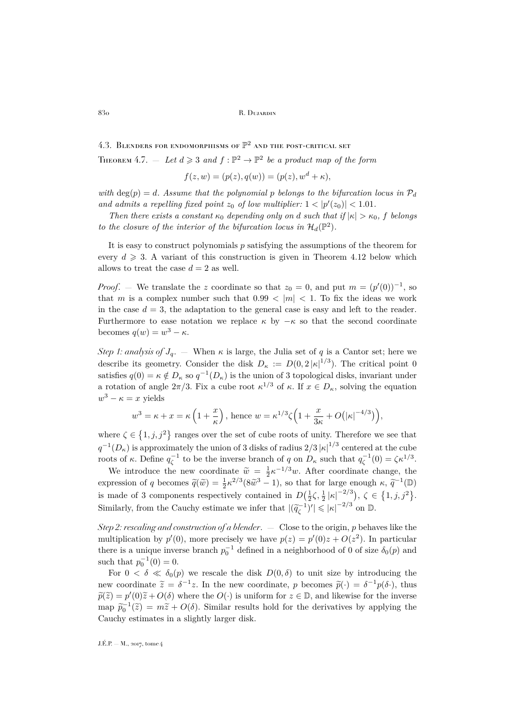<span id="page-18-0"></span>4.3. BLENDERS FOR ENDOMORPHISMS OF  $\mathbb{P}^2$  and the post-critical set THEOREM 4.7.  $-\text{ Let } d \geqslant 3 \text{ and } f : \mathbb{P}^2 \to \mathbb{P}^2$  be a product map of the form

$$
f(z, w) = (p(z), q(w)) = (p(z), wd + \kappa),
$$

*with*  $deg(p) = d$ . Assume that the polynomial p belongs to the bifurcation locus in  $\mathcal{P}_d$ and admits a repelling fixed point  $z_0$  of low multiplier:  $1 < |p'(z_0)| < 1.01$ .

*Then there exists a constant*  $\kappa_0$  *depending only on d such that if*  $|\kappa| > \kappa_0$ , f *belongs to the closure of the interior of the bifurcation locus in*  $\mathcal{H}_d(\mathbb{P}^2)$ .

It is easy to construct polynomials  $p$  satisfying the assumptions of the theorem for every  $d \geq 3$ . A variant of this construction is given in Theorem [4.12](#page-25-2) below which allows to treat the case  $d = 2$  as well.

*Proof.* – We translate the z coordinate so that  $z_0 = 0$ , and put  $m = (p'(0))^{-1}$ , so that m is a complex number such that  $0.99 < |m| < 1$ . To fix the ideas we work in the case  $d = 3$ , the adaptation to the general case is easy and left to the reader. Furthermore to ease notation we replace  $\kappa$  by  $-\kappa$  so that the second coordinate becomes  $q(w) = w^3 - \kappa$ .

*Step 1: analysis of*  $J_q$ . — When  $\kappa$  is large, the Julia set of q is a Cantor set; here we describe its geometry. Consider the disk  $D_{\kappa} := D(0, 2|\kappa|^{1/3})$ . The critical point 0 satisfies  $q(0) = \kappa \notin D_{\kappa}$  so  $q^{-1}(D_{\kappa})$  is the union of 3 topological disks, invariant under a rotation of angle  $2\pi/3$ . Fix a cube root  $\kappa^{1/3}$  of  $\kappa$ . If  $x \in D_{\kappa}$ , solving the equation  $w^3 - \kappa = x$  yields

$$
w^3 = \kappa + x = \kappa \left(1 + \frac{x}{\kappa}\right)
$$
, hence  $w = \kappa^{1/3} \zeta \left(1 + \frac{x}{3\kappa} + O(|\kappa|^{-4/3})\right)$ ,

where  $\zeta \in \{1, j, j^2\}$  ranges over the set of cube roots of unity. Therefore we see that  $q^{-1}(D_{\kappa})$  is approximately the union of 3 disks of radius  $2/3 |\kappa|^{1/3}$  centered at the cube roots of  $\kappa$ . Define  $q_\zeta^{-1}$  to be the inverse branch of q on  $D_\kappa$  such that  $q_\zeta^{-1}(0) = \zeta \kappa^{1/3}$ .

We introduce the new coordinate  $\tilde{w} = \frac{1}{2} \kappa^{-1/3} w$ . After coordinate change, the expression of q becomes  $\tilde{q}(\tilde{w}) = \frac{1}{2} \kappa^{2/3} (8\tilde{w}^3 - 1)$ , so that for large enough  $\kappa$ ,  $\tilde{q}^{-1}(\mathbb{D})$ is made of 3 components respectively contained in  $D(\frac{1}{2}\zeta, \frac{1}{2}|\kappa|^{-2/3}), \zeta \in \{1, j, j^2\}.$ Similarly, from the Cauchy estimate we infer that  $|(\tilde{q}_{\zeta}^{-1})'| \leq |\kappa|^{-2/3}$  on  $\mathbb{D}$ .

*Step 2: rescaling and construction of a blender*. — Close to the origin, p behaves like the multiplication by  $p'(0)$ , more precisely we have  $p(z) = p'(0)z + O(z^2)$ . In particular there is a unique inverse branch  $p_0^{-1}$  defined in a neighborhood of 0 of size  $\delta_0(p)$  and such that  $p_0^{-1}(0) = 0$ .

For  $0 < \delta \ll \delta_0(p)$  we rescale the disk  $D(0,\delta)$  to unit size by introducing the new coordinate  $\tilde{z} = \delta^{-1} z$ . In the new coordinate, p becomes  $\tilde{p}(\cdot) = \delta^{-1} p(\delta \cdot)$ , thus  $\widetilde{p}(\widetilde{z}) = p'(0)\widetilde{z} + O(\delta)$  where the  $O(\cdot)$  is uniform for  $z \in \mathbb{D}$ , and likewise for the inverse map  $\widetilde{p}_0^{-1}(\widetilde{z}) = m\widetilde{z} + O(\delta)$ . Similar results hold for the derivatives by applying the Cauchy estimates in a slightly larger disk.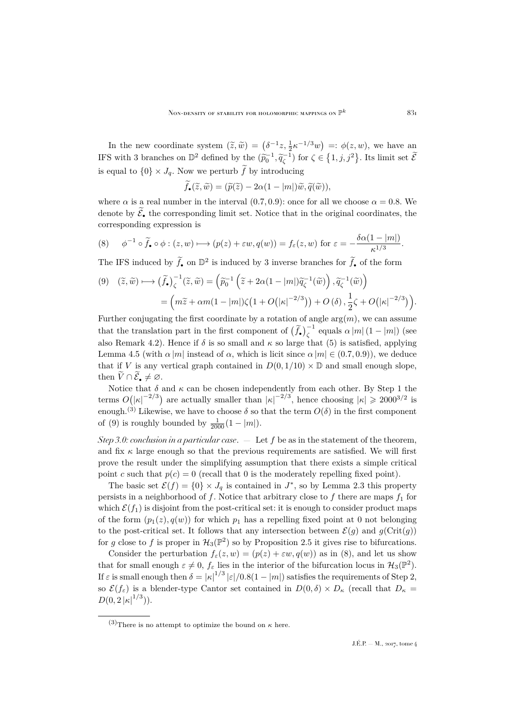In the new coordinate system  $(\tilde{z}, \tilde{w}) = (\delta^{-1}z, \frac{1}{2}\kappa^{-1/3}w) =: \phi(z, w)$ , we have an IFS with 3 branches on  $\mathbb{D}^2$  defined by the  $(\widetilde{p}_0^{-1}, \widetilde{q}_\zeta^{-1})$  for  $\zeta \in \{1, j, j^2\}$ . Its limit set  $\widetilde{\mathcal{E}}$ is equal to  $\{0\} \times J_q$ . Now we perturb  $\tilde{f}$  by introducing

$$
\widetilde{f}_{\bullet}(\widetilde{z},\widetilde{w}) = (\widetilde{p}(\widetilde{z}) - 2\alpha(1 - |m|)\widetilde{w}, \widetilde{q}(\widetilde{w})),
$$

where  $\alpha$  is a real number in the interval (0.7, 0.9): once for all we choose  $\alpha = 0.8$ . We denote by  $\widetilde{\mathcal{E}}_{\bullet}$  the corresponding limit set. Notice that in the original coordinates, the corresponding expression is

<span id="page-19-1"></span>(8) 
$$
\phi^{-1} \circ \widetilde{f}_{\bullet} \circ \phi : (z, w) \longmapsto (p(z) + \varepsilon w, q(w)) = f_{\varepsilon}(z, w) \text{ for } \varepsilon = -\frac{\delta \alpha (1 - |m|)}{\kappa^{1/3}}.
$$

The IFS induced by  $\tilde{f}_\bullet$  on  $\mathbb{D}^2$  is induced by 3 inverse branches for  $\tilde{f}_\bullet$  of the form

<span id="page-19-0"></span>
$$
(9) \quad (\widetilde{z}, \widetilde{w}) \longmapsto \left(\widetilde{f}_{\bullet}\right)^{-1}_{\zeta} (\widetilde{z}, \widetilde{w}) = \left(\widetilde{p}_{0}^{-1} \left(\widetilde{z} + 2\alpha(1 - |m|)\widetilde{q}_{\zeta}^{-1}(\widetilde{w})\right), \widetilde{q}_{\zeta}^{-1}(\widetilde{w})\right) = \left(m\widetilde{z} + \alpha m(1 - |m|)\zeta\left(1 + O(|\kappa|^{-2/3})\right) + O\left(\delta\right), \frac{1}{2}\zeta + O(|\kappa|^{-2/3})\right).
$$

Further conjugating the first coordinate by a rotation of angle  $\arg(m)$ , we can assume that the translation part in the first component of  $(\tilde{f}_\bullet)^{-1}_\zeta$  equals  $\alpha |m|(1-|m|)$  (see also Remark [4.2\)](#page-15-2). Hence if  $\delta$  is so small and  $\kappa$  so large that [\(5\)](#page-16-0) is satisfied, applying Lemma [4.5](#page-16-2) (with  $\alpha |m|$  instead of  $\alpha$ , which is licit since  $\alpha |m| \in (0.7, 0.9)$ ), we deduce that if V is any vertical graph contained in  $D(0, 1/10) \times \mathbb{D}$  and small enough slope, then  $V \cap \mathcal{E}_z \neq \emptyset$ .

Notice that  $\delta$  and  $\kappa$  can be chosen independently from each other. By Step 1 the terms  $O(|\kappa|^{-2/3})$  are actually smaller than  $|\kappa|^{-2/3}$ , hence choosing  $|\kappa| \geq 2000^{3/2}$  is enough.<sup>(3)</sup> Likewise, we have to choose  $\delta$  so that the term  $O(\delta)$  in the first component of [\(9\)](#page-19-0) is roughly bounded by  $\frac{1}{2000}(1-|m|)$ .

*Step 3.0: conclusion in a particular case*. — Let f be as in the statement of the theorem, and fix  $\kappa$  large enough so that the previous requirements are satisfied. We will first prove the result under the simplifying assumption that there exists a simple critical point c such that  $p(c) = 0$  (recall that 0 is the moderately repelling fixed point).

The basic set  $\mathcal{E}(f) = \{0\} \times J_q$  is contained in  $J^*$ , so by Lemma [2.3](#page-5-2) this property persists in a neighborhood of f. Notice that arbitrary close to f there are maps  $f_1$  for which  $\mathcal{E}(f_1)$  is disjoint from the post-critical set: it is enough to consider product maps of the form  $(p_1(z), q(w))$  for which  $p_1$  has a repelling fixed point at 0 not belonging to the post-critical set. It follows that any intersection between  $\mathcal{E}(q)$  and  $q(\text{Crit}(q))$ for g close to f is proper in  $\mathcal{H}_3(\mathbb{P}^2)$  so by Proposition [2.5](#page-6-2) it gives rise to bifurcations.

Consider the perturbation  $f_{\varepsilon}(z, w) = (p(z) + \varepsilon w, q(w))$  as in [\(8\)](#page-19-1), and let us show that for small enough  $\varepsilon \neq 0$ ,  $f_{\varepsilon}$  lies in the interior of the bifurcation locus in  $\mathcal{H}_3(\mathbb{P}^2)$ . If  $\varepsilon$  is small enough then  $\delta = |\kappa|^{1/3} |\varepsilon|/0.8(1-|m|)$  satisfies the requirements of Step 2, so  $\mathcal{E}(f_{\varepsilon})$  is a blender-type Cantor set contained in  $D(0,\delta) \times D_{\kappa}$  (recall that  $D_{\kappa} =$  $D(0,2|\kappa|^{1/3})).$ 

<sup>(3)</sup>There is no attempt to optimize the bound on  $\kappa$  here.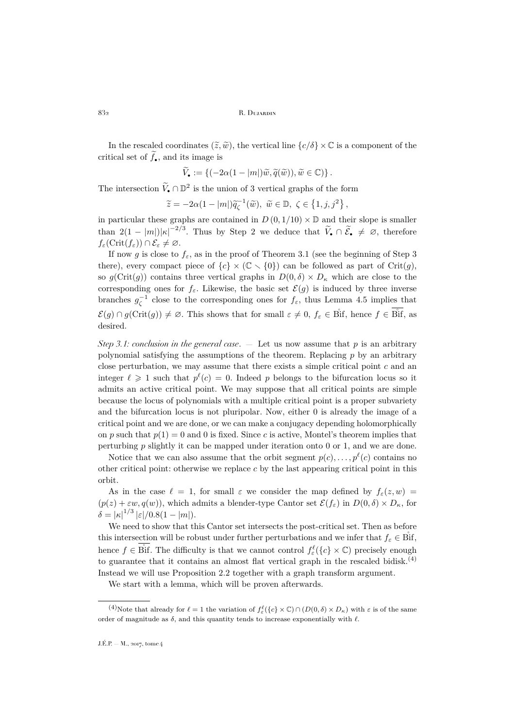In the rescaled coordinates  $(\tilde{z}, \tilde{w})$ , the vertical line  $\{c/\delta\} \times \mathbb{C}$  is a component of the critical set of  $\tilde{f}_{\bullet}$ , and its image is

$$
\widetilde{V}_{\bullet} := \left\{ (-2\alpha(1-|m|)\widetilde{w}, \widetilde{q}(\widetilde{w})), \widetilde{w} \in \mathbb{C}) \right\}.
$$

The intersection  $\widetilde{V}_{\bullet} \cap \mathbb{D}^2$  is the union of 3 vertical graphs of the form

$$
\widetilde{z} = -2\alpha (1 - |m|) \widetilde{q}_{\zeta}^{-1}(\widetilde{w}), \ \widetilde{w} \in \mathbb{D}, \ \zeta \in \left\{1, j, j^2\right\},\
$$

in particular these graphs are contained in  $D(0, 1/10) \times \mathbb{D}$  and their slope is smaller than  $2(1-|m|)|\kappa|^{-2/3}$ . Thus by Step 2 we deduce that  $\widetilde{V}_{\bullet} \cap \widetilde{\mathcal{E}}_{\bullet} \neq \emptyset$ , therefore  $f_{\varepsilon}(\mathrm{Crit}(f_{\varepsilon})) \cap \mathcal{E}_{\varepsilon} \neq \varnothing.$ 

If now g is close to  $f_{\varepsilon}$ , as in the proof of Theorem [3.1](#page-6-1) (see the beginning of Step 3) there), every compact piece of  ${c} \times (\mathbb{C} \setminus \{0\})$  can be followed as part of Crit $(g)$ , so  $g(\text{Crit}(g))$  contains three vertical graphs in  $D(0, \delta) \times D_{\kappa}$  which are close to the corresponding ones for  $f_{\varepsilon}$ . Likewise, the basic set  $\mathcal{E}(g)$  is induced by three inverse branches  $g_{\zeta}^{-1}$  close to the corresponding ones for  $f_{\varepsilon}$ , thus Lemma [4.5](#page-16-2) implies that  $\mathcal{E}(g) \cap g(\text{Crit}(g)) \neq \emptyset$ . This shows that for small  $\varepsilon \neq 0, f_{\varepsilon} \in \overset{\circ}{\text{Bif}}$ , hence  $f \in \overset{\circ}{\text{Bif}}$ , as desired.

*Step 3.1: conclusion in the general case*. — Let us now assume that p is an arbitrary polynomial satisfying the assumptions of the theorem. Replacing  $p$  by an arbitrary close perturbation, we may assume that there exists a simple critical point  $c$  and an integer  $\ell \geq 1$  such that  $p^{\ell}(c) = 0$ . Indeed p belongs to the bifurcation locus so it admits an active critical point. We may suppose that all critical points are simple because the locus of polynomials with a multiple critical point is a proper subvariety and the bifurcation locus is not pluripolar. Now, either 0 is already the image of a critical point and we are done, or we can make a conjugacy depending holomorphically on p such that  $p(1) = 0$  and 0 is fixed. Since c is active, Montel's theorem implies that perturbing  $p$  slightly it can be mapped under iteration onto 0 or 1, and we are done.

Notice that we can also assume that the orbit segment  $p(c), \ldots, p^{\ell}(c)$  contains no other critical point: otherwise we replace  $c$  by the last appearing critical point in this orbit.

As in the case  $\ell = 1$ , for small  $\varepsilon$  we consider the map defined by  $f_{\varepsilon}(z, w) =$  $(p(z) + \varepsilon w, q(w))$ , which admits a blender-type Cantor set  $\mathcal{E}(f_{\varepsilon})$  in  $D(0, \delta) \times D_{\kappa}$ , for  $\delta = |\kappa|^{1/3} |\varepsilon|/0.8(1-|m|).$ 

We need to show that this Cantor set intersects the post-critical set. Then as before this intersection will be robust under further perturbations and we infer that  $f_{\varepsilon} \in \text{Bif}$ , hence  $f \in \mathring{\text{Bif}}$ . The difficulty is that we cannot control  $f_{\varepsilon}^{\ell}(\{c\} \times \mathbb{C})$  precisely enough to guarantee that it contains an almost flat vertical graph in the rescaled bidisk.<sup>(4)</sup> Instead we will use Proposition [2.2](#page-4-1) together with a graph transform argument.

We start with a lemma, which will be proven afterwards.

<sup>&</sup>lt;sup>(4)</sup>Note that already for  $\ell = 1$  the variation of  $f_{\varepsilon}^{\ell}(\{c\} \times \mathbb{C}) \cap (D(0, \delta) \times D_{\kappa})$  with  $\varepsilon$  is of the same order of magnitude as  $\delta$ , and this quantity tends to increase exponentially with  $\ell$ .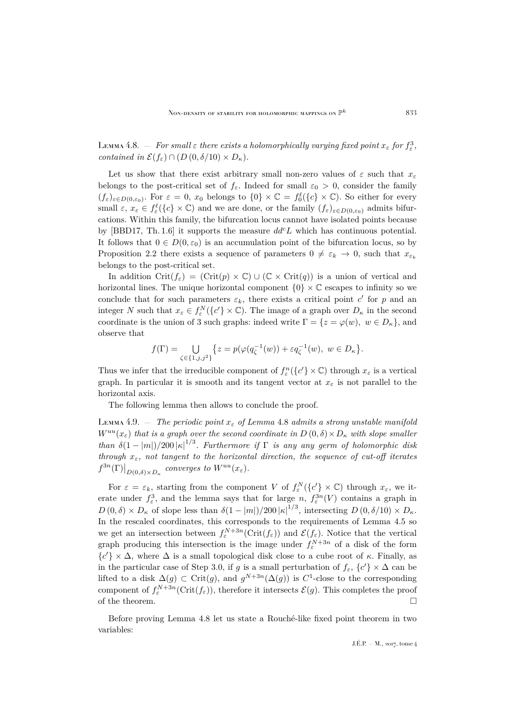<span id="page-21-0"></span>Lemma 4.8.  $-$  *For small*  $\varepsilon$  *there exists a holomorphically varying fixed point*  $x_{\varepsilon}$  *for*  $f_{\varepsilon}^3$ *, contained in*  $\mathcal{E}(f_{\varepsilon}) \cap (D(0,\delta/10) \times D_{\kappa}).$ 

Let us show that there exist arbitrary small non-zero values of  $\varepsilon$  such that  $x_{\varepsilon}$ belongs to the post-critical set of  $f_{\varepsilon}$ . Indeed for small  $\varepsilon_0 > 0$ , consider the family  $(f_{\varepsilon})_{\varepsilon\in D(0,\varepsilon_0)}$ . For  $\varepsilon=0$ ,  $x_0$  belongs to  $\{0\}\times\mathbb{C}=\int_0^{\ell}(\{c\}\times\mathbb{C})$ . So either for every small  $\varepsilon, x_{\varepsilon} \in f_{\varepsilon}^{\ell}(\{c\} \times \mathbb{C})$  and we are done, or the family  $(f_{\varepsilon})_{\varepsilon \in D(0,\varepsilon_0)}$  admits bifurcations. Within this family, the bifurcation locus cannot have isolated points because by [\[BBD17,](#page-30-1) Th. 1.6] it supports the measure  $dd^c L$  which has continuous potential. It follows that  $0 \in D(0, \varepsilon_0)$  is an accumulation point of the bifurcation locus, so by Proposition [2.2](#page-4-1) there exists a sequence of parameters  $0 \neq \varepsilon_k \to 0$ , such that  $x_{\varepsilon_k}$ belongs to the post-critical set.

In addition Crit( $f_{\varepsilon}$ ) = (Crit(p) × C) ∪ (C × Crit(q)) is a union of vertical and horizontal lines. The unique horizontal component  $\{0\} \times \mathbb{C}$  escapes to infinity so we conclude that for such parameters  $\varepsilon_k$ , there exists a critical point c' for p and an integer N such that  $x_{\varepsilon} \in f_{\varepsilon}^{N}(\{c'\}\times \mathbb{C})$ . The image of a graph over  $D_{\kappa}$  in the second coordinate is the union of 3 such graphs: indeed write  $\Gamma = \{z = \varphi(w), w \in D_{\kappa}\}\)$ , and observe that

$$
f(\Gamma) = \bigcup_{\zeta \in \{1, j, j^2\}} \left\{ z = p(\varphi(q_{\zeta}^{-1}(w)) + \varepsilon q_{\zeta}^{-1}(w), \ w \in D_{\kappa} \right\}.
$$

Thus we infer that the irreducible component of  $f_{\varepsilon}^n({c' \} \times \mathbb{C})$  through  $x_{\varepsilon}$  is a vertical graph. In particular it is smooth and its tangent vector at  $x_{\varepsilon}$  is not parallel to the horizontal axis.

The following lemma then allows to conclude the proof.

<span id="page-21-1"></span>Lemma 4.9.  $\equiv$  *The periodic point*  $x_{\varepsilon}$  *of Lemma [4.8](#page-21-0) admits a strong unstable manifold*  $W^{uu}(x_{\varepsilon})$  *that is a graph over the second coordinate in*  $D(0,\delta) \times D_{\kappa}$  *with slope smaller than*  $\delta(1-|m|)/200 |\kappa|^{1/3}$ . Furthermore if  $\Gamma$  is any any germ of holomorphic disk *through*  $x_{\varepsilon}$ *, not tangent to the horizontal direction, the sequence of cut-off iterates*  $f^{3n}(\Gamma)\big|_{D(0,\delta)\times D_\kappa}$  converges to  $W^{uu}(x_\varepsilon)$ .

For  $\varepsilon = \varepsilon_k$ , starting from the component V of  $f_{\varepsilon}^N(\{c'\}\times\mathbb{C})$  through  $x_{\varepsilon}$ , we iterate under  $f_{\varepsilon}^3$ , and the lemma says that for large n,  $f_{\varepsilon}^{3n}(V)$  contains a graph in  $D(0,\delta) \times D_{\kappa}$  of slope less than  $\delta(1-|m|)/200 |\kappa|^{1/3}$ , intersecting  $D(0,\delta/10) \times D_{\kappa}$ . In the rescaled coordinates, this corresponds to the requirements of Lemma [4.5](#page-16-2) so we get an intersection between  $f_{\varepsilon}^{N+3n}$ (Crit $(f_{\varepsilon})$ ) and  $\mathcal{E}(f_{\varepsilon})$ . Notice that the vertical graph producing this intersection is the image under  $f_{\varepsilon}^{N+3n}$  of a disk of the form  ${c' \} \times \Delta$ , where  $\Delta$  is a small topological disk close to a cube root of  $\kappa$ . Finally, as in the particular case of Step 3.0, if g is a small perturbation of  $f_{\varepsilon}$ ,  $\{c'\}\times\Delta$  can be lifted to a disk  $\Delta(g) \subset \text{Crit}(g)$ , and  $g^{N+3n}(\Delta(g))$  is  $C^1$ -close to the corresponding component of  $f_{\varepsilon}^{N+3n}(\text{Crit}(f_{\varepsilon}))$ , therefore it intersects  $\mathcal{E}(g)$ . This completes the proof of the theorem.  $\Box$ 

Before proving Lemma [4.8](#page-21-0) let us state a Rouché-like fixed point theorem in two variables: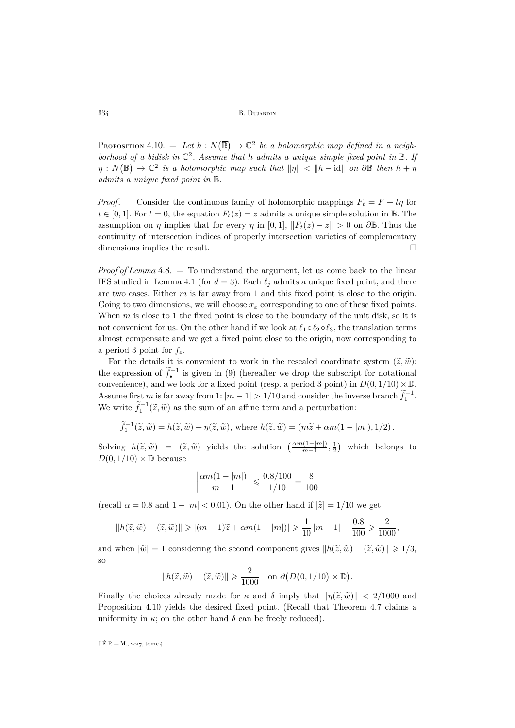<span id="page-22-0"></span>PROPOSITION 4.10. – Let  $h : N(\overline{\mathbb{B}}) \to \mathbb{C}^2$  be a holomorphic map defined in a neighborhood of a bidisk in  $\mathbb{C}^2$ . Assume that h admits a unique simple fixed point in  $\mathbb{B}$ . If  $\eta: N(\overline{\mathbb{B}}) \to \mathbb{C}^2$  *is a holomorphic map such that*  $\|\eta\| < \|h - \mathrm{id}\|$  *on*  $\partial \mathbb{B}$  *then*  $h + \eta$ *admits a unique fixed point in* B*.*

*Proof.* – Consider the continuous family of holomorphic mappings  $F_t = F + t\eta$  for  $t \in [0, 1]$ . For  $t = 0$ , the equation  $F_t(z) = z$  admits a unique simple solution in B. The assumption on  $\eta$  implies that for every  $\eta$  in [0, 1],  $||F_t(z) - z|| > 0$  on  $\partial \mathbb{B}$ . Thus the continuity of intersection indices of properly intersection varieties of complementary dimensions implies the result.

*Proof of Lemma* [4.8.](#page-21-0) — To understand the argument, let us come back to the linear IFS studied in Lemma [4.1](#page-14-0) (for  $d = 3$ ). Each  $\ell_i$  admits a unique fixed point, and there are two cases. Either  $m$  is far away from 1 and this fixed point is close to the origin. Going to two dimensions, we will choose  $x_{\varepsilon}$  corresponding to one of these fixed points. When  $m$  is close to 1 the fixed point is close to the boundary of the unit disk, so it is not convenient for us. On the other hand if we look at  $\ell_1 \circ \ell_2 \circ \ell_3$ , the translation terms almost compensate and we get a fixed point close to the origin, now corresponding to a period 3 point for  $f_{\varepsilon}$ .

For the details it is convenient to work in the rescaled coordinate system  $(\tilde{z}, \tilde{w})$ : the expression of  $f_{\bullet}^{-1}$  is given in [\(9\)](#page-19-0) (hereafter we drop the subscript for notational convenience), and we look for a fixed point (resp. a period 3 point) in  $D(0, 1/10) \times \mathbb{D}$ . Assume first m is far away from 1:  $|m-1| > 1/10$  and consider the inverse branch  $\tilde{f}_1^{-1}$ . We write  $\tilde{f}_1^{-1}(\tilde{z}, \tilde{w})$  as the sum of an affine term and a perturbation:

$$
\widetilde{f}_1^{-1}(\widetilde{z}, \widetilde{w}) = h(\widetilde{z}, \widetilde{w}) + \eta(\widetilde{z}, \widetilde{w}), \text{ where } h(\widetilde{z}, \widetilde{w}) = (m\widetilde{z} + \alpha m(1 - |m|), 1/2).
$$

Solving  $h(\tilde{z}, \tilde{w}) = (\tilde{z}, \tilde{w})$  yields the solution  $\left(\frac{\alpha m(1-|m|)}{m-1}, \frac{1}{2}\right)$  which belongs to  $D(0, 1/10) \vee \mathbb{R}$  because  $D(0, 1/10) \times \mathbb{D}$  because

$$
\left|\frac{\alpha m(1-|m|)}{m-1}\right| \leq \frac{0.8/100}{1/10} = \frac{8}{100}
$$

(recall  $\alpha = 0.8$  and  $1 - |m| < 0.01$ ). On the other hand if  $|\tilde{z}| = 1/10$  we get

$$
\|h(\widetilde{z},\widetilde{w})-(\widetilde{z},\widetilde{w})\|\geqslant|(m-1)\widetilde{z}+\alpha m(1-|m|)|\geqslant\frac{1}{10}\,|m-1|-\frac{0.8}{100}\geqslant\frac{2}{1000},
$$

and when  $|\tilde{w}| = 1$  considering the second component gives  $||h(\tilde{z}, \tilde{w}) - (\tilde{z}, \tilde{w})|| \geq 1/3$ , so

$$
||h(\widetilde{z}, \widetilde{w}) - (\widetilde{z}, \widetilde{w})|| \geq \frac{2}{1000} \quad \text{on } \partial(D(0, 1/10) \times \mathbb{D}).
$$

Finally the choices already made for  $\kappa$  and  $\delta$  imply that  $\|\eta(\tilde{z}, \tilde{w})\| < 2/1000$  and Proposition [4.10](#page-22-0) yields the desired fixed point. (Recall that Theorem [4.7](#page-18-0) claims a uniformity in  $\kappa$ ; on the other hand  $\delta$  can be freely reduced).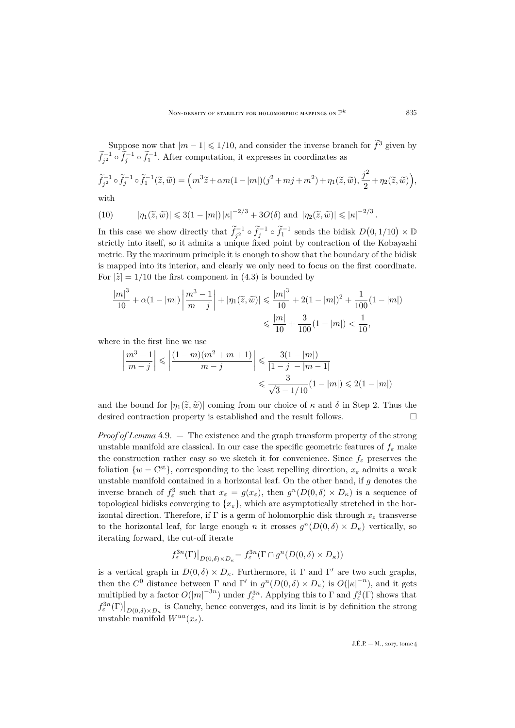Suppose now that  $|m-1| \leq 1/10$ , and consider the inverse branch for  $\tilde{f}^3$  given by  $\tilde{f}_{j^2}^{-1} \circ \tilde{f}_j^{-1} \circ \tilde{f}_1^{-1}$ . After computation, it expresses in coordinates as

<span id="page-23-0"></span>
$$
\widetilde{f}_{j^2}^{-1} \circ \widetilde{f}_j^{-1} \circ \widetilde{f}_1^{-1}(\widetilde{z}, \widetilde{w}) = \left( m^3 \widetilde{z} + \alpha m (1 - |m|) (j^2 + mj + m^2) + \eta_1(\widetilde{z}, \widetilde{w}), \frac{j^2}{2} + \eta_2(\widetilde{z}, \widetilde{w}) \right),
$$

with

(10) 
$$
|\eta_1(\widetilde{z}, \widetilde{w})| \leq 3(1-|m|)|\kappa|^{-2/3} + 3O(\delta) \text{ and } |\eta_2(\widetilde{z}, \widetilde{w})| \leq |\kappa|^{-2/3}.
$$

In this case we show directly that  $\tilde{f}_{j^2}^{-1} \circ \tilde{f}_j^{-1} \circ \tilde{f}_1^{-1}$  sends the bidisk  $D(0,1/10) \times \mathbb{D}$ strictly into itself, so it admits a unique fixed point by contraction of the Kobayashi metric. By the maximum principle it is enough to show that the boundary of the bidisk is mapped into its interior, and clearly we only need to focus on the first coordinate. For  $|\tilde{z}| = 1/10$  the first component in [\(4.3\)](#page-23-0) is bounded by

$$
\frac{|m|^3}{10} + \alpha (1 - |m|) \left| \frac{m^3 - 1}{m - j} \right| + |\eta_1(\tilde{z}, \tilde{w})| \leqslant \frac{|m|^3}{10} + 2(1 - |m|)^2 + \frac{1}{100}(1 - |m|)
$$
  

$$
\leqslant \frac{|m|}{10} + \frac{3}{100}(1 - |m|) < \frac{1}{10},
$$

where in the first line we use

$$
\left| \frac{m^3 - 1}{m - j} \right| \leq \left| \frac{(1 - m)(m^2 + m + 1)}{m - j} \right| \leq \frac{3(1 - |m|)}{|1 - j| - |m - 1|}
$$
  

$$
\leq \frac{3}{\sqrt{3} - 1/10} (1 - |m|) \leq 2(1 - |m|)
$$

and the bound for  $|\eta_1(\tilde{z}, \tilde{w})|$  coming from our choice of  $\kappa$  and  $\delta$  in Step 2. Thus the desired contraction property is established and the result follows desired contraction property is established and the result follows.

*Proof of Lemma* [4.9.](#page-21-1) — The existence and the graph transform property of the strong unstable manifold are classical. In our case the specific geometric features of  $f_{\varepsilon}$  make the construction rather easy so we sketch it for convenience. Since  $f_{\varepsilon}$  preserves the foliation  $\{w = \mathbf{C}^{\mathsf{st}}\}$ , corresponding to the least repelling direction,  $x_{\epsilon}$  admits a weak unstable manifold contained in a horizontal leaf. On the other hand, if  $g$  denotes the inverse branch of  $f_{\varepsilon}^3$  such that  $x_{\varepsilon} = g(x_{\varepsilon})$ , then  $g^n(D(0,\delta) \times D_{\kappa})$  is a sequence of topological bidisks converging to  $\{x_{\varepsilon}\}\,$ , which are asymptotically stretched in the horizontal direction. Therefore, if  $\Gamma$  is a germ of holomorphic disk through  $x_{\varepsilon}$  transverse to the horizontal leaf, for large enough n it crosses  $g^{n}(D(0, \delta) \times D_{\kappa})$  vertically, so iterating forward, the cut-off iterate

$$
f^{3n}_{\varepsilon}(\Gamma)\big|_{D(0,\delta)\times D_{\kappa}} = f^{3n}_{\varepsilon}(\Gamma \cap g^n(D(0,\delta) \times D_{\kappa}))
$$

is a vertical graph in  $D(0, \delta) \times D_{\kappa}$ . Furthermore, it  $\Gamma$  and  $\Gamma'$  are two such graphs, then the  $C^0$  distance between  $\Gamma$  and  $\Gamma'$  in  $g^n(D(0,\delta) \times D_\kappa)$  is  $O(|\kappa|^{-n})$ , and it gets multiplied by a factor  $O(|m|^{-3n})$  under  $f_{\varepsilon}^{3n}$ . Applying this to  $\Gamma$  and  $f_{\varepsilon}^{3}(\Gamma)$  shows that  $f_{\varepsilon}^{3n}(\Gamma)\big|_{D(0,\delta)\times D_{\kappa}}$  is Cauchy, hence converges, and its limit is by definition the strong unstable manifold  $W^{uu}(x_{\varepsilon}).$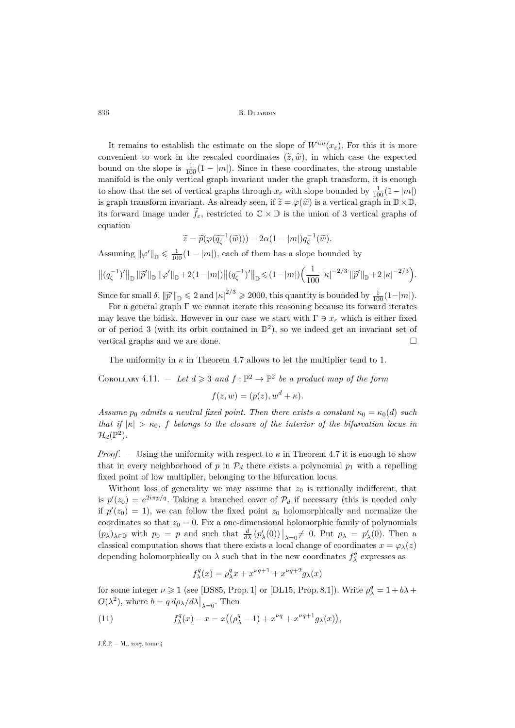It remains to establish the estimate on the slope of  $W^{uu}(x_{\varepsilon})$ . For this it is more convenient to work in the rescaled coordinates  $(\tilde{z}, \tilde{w})$ , in which case the expected bound on the slope is  $\frac{1}{100}(1-|m|)$ . Since in these coordinates, the strong unstable manifold is the only vertical graph invariant under the graph transform, it is enough to show that the set of vertical graphs through  $x_{\varepsilon}$  with slope bounded by  $\frac{1}{100}(1-|m|)$ is graph transform invariant. As already seen, if  $\widetilde{z}=\varphi(\widetilde{w})$  is a vertical graph in  $\mathbb{D}\times\mathbb{D}$ , its forward image under  $\tilde{f}_{\varepsilon}$ , restricted to  $\mathbb{C}\times\mathbb{D}$  is the union of 3 vertical graphs of equation

$$
\widetilde{z} = \widetilde{p}(\varphi(\widetilde{q}_{\zeta}^{-1}(\widetilde{w}))) - 2\alpha(1 - |m|)q_{\zeta}^{-1}(\widetilde{w}).
$$

Assuming  $\|\varphi'\|_{\mathbb{D}} \leq \frac{1}{100}(1 - |m|)$ , each of them has a slope bounded by

$$
\left\| (q_{\zeta}^{-1})' \right\|_{\mathbb{D}} \left\| \widetilde{p}' \right\|_{\mathbb{D}} \left\| \varphi' \right\|_{\mathbb{D}} + 2(1-|m|) \left\| (q_{\zeta}^{-1})' \right\|_{\mathbb{D}} \leqslant (1-|m|) \left( \frac{1}{100} \left| \kappa \right|^{-2/3} \left\| \widetilde{p}' \right\|_{\mathbb{D}} + 2 \left| \kappa \right|^{-2/3} \right).
$$

Since for small  $\delta$ ,  $\|\tilde{p}'\|_{\mathbb{D}} \leq 2$  and  $|\kappa|^{2/3} \geq 2000$ , this quantity is bounded by  $\frac{1}{100}(1-|m|)$ .

For a general graph  $\Gamma$  we cannot iterate this reasoning because its forward iterates may leave the bidisk. However in our case we start with  $\Gamma \ni x_{\varepsilon}$  which is either fixed or of period 3 (with its orbit contained in  $\mathbb{D}^2$ ), so we indeed get an invariant set of vertical graphs and we are done.

The uniformity in  $\kappa$  in Theorem [4.7](#page-18-0) allows to let the multiplier tend to 1.

<span id="page-24-0"></span>COROLLARY 4.11.  $-$  Let  $d \geq 3$  and  $f : \mathbb{P}^2 \to \mathbb{P}^2$  be a product map of the form

$$
f(z, w) = (p(z), wd + \kappa).
$$

*Assume*  $p_0$  *admits a neutral fixed point. Then there exists a constant*  $\kappa_0 = \kappa_0(d)$  *such that if*  $|\kappa| > \kappa_0$ , f *belongs to the closure of the interior of the bifurcation locus in*  $\mathcal{H}_d(\mathbb{P}^2)$ .

*Proof.* – Using the uniformity with respect to  $\kappa$  in Theorem [4.7](#page-18-0) it is enough to show that in every neighborhood of p in  $\mathcal{P}_d$  there exists a polynomial  $p_1$  with a repelling fixed point of low multiplier, belonging to the bifurcation locus.

Without loss of generality we may assume that  $z_0$  is rationally indifferent, that is  $p'(z_0) = e^{2i\pi p/q}$ . Taking a branched cover of  $\mathcal{P}_d$  if necessary (this is needed only if  $p'(z_0) = 1$ , we can follow the fixed point  $z_0$  holomorphically and normalize the coordinates so that  $z_0 = 0$ . Fix a one-dimensional holomorphic family of polynomials  $(p_\lambda)_{\lambda\in\mathbb{D}}$  with  $p_0 = p$  and such that  $\frac{d}{d\lambda}(p'_\lambda(0))\big|_{\lambda=0} \neq 0$ . Put  $\rho_\lambda = p'_\lambda(0)$ . Then a classical computation shows that there exists a local change of coordinates  $x = \varphi_{\lambda}(z)$ depending holomorphically on  $\lambda$  such that in the new coordinates  $f_{\lambda}^q$  expresses as

<span id="page-24-1"></span>
$$
f^q_\lambda(x) = \rho^q_\lambda x + x^{\nu q + 1} + x^{\nu q + 2} g_\lambda(x)
$$

for some integer  $\nu \ge 1$  (see [\[DS85,](#page-30-13) Prop. 1] or [\[DL15,](#page-31-12) Prop. 8.1]). Write  $\rho_{\lambda}^{q} = 1 + b\lambda +$  $O(\lambda^2)$ , where  $b = q d\rho_{\lambda}/d\lambda\big|_{\lambda=0}$ . Then

(11) 
$$
f_{\lambda}^{q}(x) - x = x((\rho_{\lambda}^{q} - 1) + x^{\nu q} + x^{\nu q + 1} g_{\lambda}(x)),
$$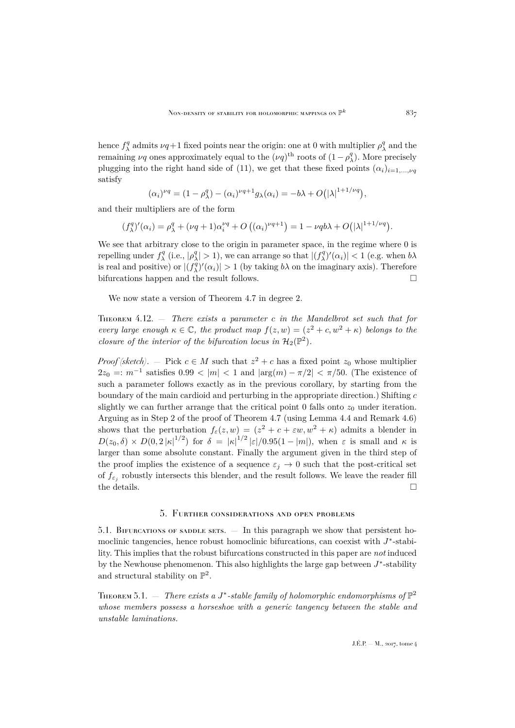hence  $f^q_\lambda$  admits  $\nu q+1$  fixed points near the origin: one at 0 with multiplier  $\rho^q_\lambda$  and the remaining  $\nu q$  ones approximately equal to the  $(\nu q)^{\text{th}}$  roots of  $(1 - \rho_\lambda^q)$ . More precisely plugging into the right hand side of [\(11\)](#page-24-1), we get that these fixed points  $(\alpha_i)_{i=1,\dots,\nu}$ satisfy

$$
(\alpha_i)^{\nu q} = (1 - \rho_\lambda^q) - (\alpha_i)^{\nu q + 1} g_\lambda(\alpha_i) = -b\lambda + O(|\lambda|^{1+1/\nu q}),
$$

and their multipliers are of the form

$$
(f_{\lambda}^{q})'(\alpha_i) = \rho_{\lambda}^{q} + (\nu q + 1)\alpha_i^{\nu q} + O\left((\alpha_i)^{\nu q + 1}\right) = 1 - \nu q b \lambda + O(|\lambda|^{1 + 1/\nu q}).
$$

We see that arbitrary close to the origin in parameter space, in the regime where 0 is repelling under  $f_{\lambda}^q$  (i.e.,  $|\rho_{\lambda}^q| > 1$ ), we can arrange so that  $|(f_{\lambda}^q)'(\alpha_i)| < 1$  (e.g. when  $b\lambda$ is real and positive) or  $|(f_{\lambda}^q)'(\alpha_i)| > 1$  (by taking  $b\lambda$  on the imaginary axis). Therefore bifurcations happen and the result follows.  $\Box$ 

We now state a version of Theorem [4.7](#page-18-0) in degree 2.

<span id="page-25-2"></span>Theorem 4.12. — *There exists a parameter* c *in the Mandelbrot set such that for every large enough*  $\kappa \in \mathbb{C}$ , the product map  $f(z, w) = (z^2 + c, w^2 + \kappa)$  belongs to the *closure of the interior of the bifurcation locus in*  $\mathcal{H}_2(\mathbb{P}^2)$ *.* 

*Proof (sketch)*. – Pick  $c \in M$  such that  $z^2 + c$  has a fixed point  $z_0$  whose multiplier  $2z_0 =: m^{-1}$  satisfies  $0.99 < |m| < 1$  and  $|\arg(m) - \pi/2| < \pi/50$ . (The existence of such a parameter follows exactly as in the previous corollary, by starting from the boundary of the main cardioid and perturbing in the appropriate direction.) Shifting  $c$ slightly we can further arrange that the critical point 0 falls onto  $z_0$  under iteration. Arguing as in Step 2 of the proof of Theorem [4.7](#page-18-0) (using Lemma [4.4](#page-16-1) and Remark [4.6\)](#page-17-1) shows that the perturbation  $f_{\varepsilon}(z,w) = (z^2 + c + \varepsilon w, w^2 + \kappa)$  admits a blender in  $D(z_0,\delta) \times D(0,2|\kappa|^{1/2})$  for  $\delta = |\kappa|^{1/2} |\varepsilon|/0.95(1-|m|)$ , when  $\varepsilon$  is small and  $\kappa$  is larger than some absolute constant. Finally the argument given in the third step of the proof implies the existence of a sequence  $\varepsilon_i \to 0$  such that the post-critical set of  $f_{\varepsilon_j}$  robustly intersects this blender, and the result follows. We leave the reader fill the details.  $\hfill \square$ 

#### 5. Further considerations and open problems

<span id="page-25-1"></span><span id="page-25-0"></span>5.1. BIFURCATIONS OF SADDLE SETS.  $-$  In this paragraph we show that persistent homoclinic tangencies, hence robust homoclinic bifurcations, can coexist with  $J^*$ -stability. This implies that the robust bifurcations constructed in this paper are *not* induced by the Newhouse phenomenon. This also highlights the large gap between  $J^*$ -stability and structural stability on  $\mathbb{P}^2$ .

<span id="page-25-3"></span>THEOREM 5.1.  $-$  *There exists a J*<sup>\*</sup>-stable family of holomorphic endomorphisms of  $\mathbb{P}^2$ *whose members possess a horseshoe with a generic tangency between the stable and unstable laminations.*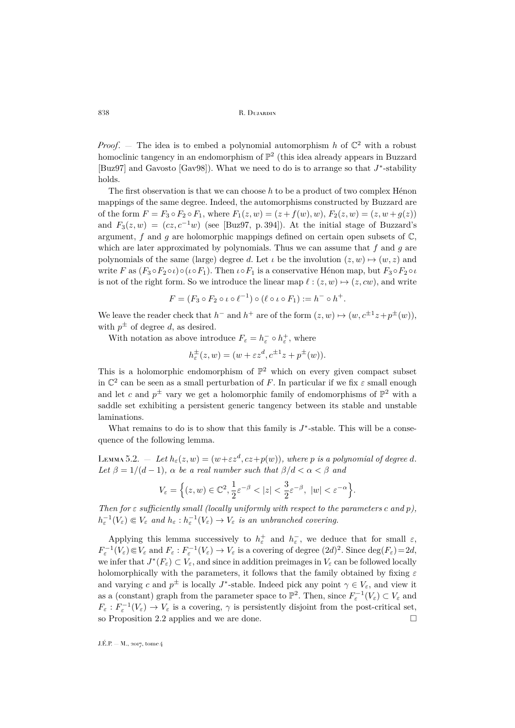*Proof.* – The idea is to embed a polynomial automorphism h of  $\mathbb{C}^2$  with a robust homoclinic tangency in an endomorphism of  $\mathbb{P}^2$  (this idea already appears in Buzzard [\[Buz97\]](#page-30-2) and Gavosto [\[Gav98\]](#page-31-6)). What we need to do is to arrange so that  $J^*$ -stability holds.

The first observation is that we can choose  $h$  to be a product of two complex Hénon mappings of the same degree. Indeed, the automorphisms constructed by Buzzard are of the form  $F = F_3 \circ F_2 \circ F_1$ , where  $F_1(z, w) = (z + f(w), w)$ ,  $F_2(z, w) = (z, w + g(z))$ and  $F_3(z, w) = (cz, c^{-1}w)$  (see [\[Buz97,](#page-30-2) p. 394]). At the initial stage of Buzzard's argument, f and g are holomorphic mappings defined on certain open subsets of  $\mathbb{C}$ , which are later approximated by polynomials. Thus we can assume that  $f$  and  $g$  are polynomials of the same (large) degree d. Let  $\iota$  be the involution  $(z, w) \mapsto (w, z)$  and write F as  $(F_3 \circ F_2 \circ \iota) \circ (\iota \circ F_1)$ . Then  $\iota \circ F_1$  is a conservative Hénon map, but  $F_3 \circ F_2 \circ \iota$ is not of the right form. So we introduce the linear map  $\ell : (z, w) \mapsto (z, cw)$ , and write

$$
F = (F_3 \circ F_2 \circ \iota \circ \ell^{-1}) \circ (\ell \circ \iota \circ F_1) := h^- \circ h^+.
$$

We leave the reader check that  $h^-$  and  $h^+$  are of the form  $(z, w) \mapsto (w, c^{\pm 1}z + p^{\pm}(w))$ , with  $p^{\pm}$  of degree d, as desired.

With notation as above introduce  $F_{\varepsilon} = h_{\varepsilon}^- \circ h_{\varepsilon}^+$ , where

$$
h_{\varepsilon}^{\pm}(z,w) = (w + \varepsilon z^d, c^{\pm 1}z + p^{\pm}(w)).
$$

This is a holomorphic endomorphism of  $\mathbb{P}^2$  which on every given compact subset in  $\mathbb{C}^2$  can be seen as a small perturbation of F. In particular if we fix  $\varepsilon$  small enough and let c and  $p^{\pm}$  vary we get a holomorphic family of endomorphisms of  $\mathbb{P}^2$  with a saddle set exhibiting a persistent generic tangency between its stable and unstable laminations.

What remains to do is to show that this family is  $J^*$ -stable. This will be a consequence of the following lemma.

<span id="page-26-0"></span>LEMMA 5.2.  $\qquad Let h_{\varepsilon}(z,w) = (w+\varepsilon z^d, cz+p(w)),$  where p is a polynomial of degree d. Let  $\beta = 1/(d-1)$ *,*  $\alpha$  *be a real number such that*  $\beta/d < \alpha < \beta$  *and* 

$$
V_{\varepsilon}=\Big\{(z,w)\in \mathbb{C}^2, \frac{1}{2}\varepsilon^{-\beta}<|z|<\frac{3}{2}\varepsilon^{-\beta},\ |w|<\varepsilon^{-\alpha}\Big\}.
$$

*Then for*  $\varepsilon$  *sufficiently small (locally uniformly with respect to the parameters*  $c$  *and*  $p$ ),  $h_{\varepsilon}^{-1}(V_{\varepsilon}) \in V_{\varepsilon}$  and  $h_{\varepsilon}: h_{\varepsilon}^{-1}(V_{\varepsilon}) \to V_{\varepsilon}$  is an unbranched covering.

Applying this lemma successively to  $h_{\varepsilon}^+$  and  $h_{\varepsilon}^-$ , we deduce that for small  $\varepsilon$ ,  $F_{\varepsilon}^{-1}(V_{\varepsilon}) \in V_{\varepsilon}$  and  $F_{\varepsilon}: F_{\varepsilon}^{-1}(V_{\varepsilon}) \to V_{\varepsilon}$  is a covering of degree  $(2d)^2$ . Since  $\deg(F_{\varepsilon}) = 2d$ , we infer that  $J^*(F_\varepsilon) \subset V_\varepsilon$ , and since in addition preimages in  $V_\varepsilon$  can be followed locally holomorphically with the parameters, it follows that the family obtained by fixing  $\varepsilon$ and varying c and  $p^{\pm}$  is locally J<sup>\*</sup>-stable. Indeed pick any point  $\gamma \in V_{\varepsilon}$ , and view it as a (constant) graph from the parameter space to  $\mathbb{P}^2$ . Then, since  $F_{\varepsilon}^{-1}(V_{\varepsilon}) \subset V_{\varepsilon}$  and  $F_{\varepsilon}: F_{\varepsilon}^{-1}(V_{\varepsilon}) \to V_{\varepsilon}$  is a covering,  $\gamma$  is persistently disjoint from the post-critical set, so Proposition [2.2](#page-4-1) applies and we are done.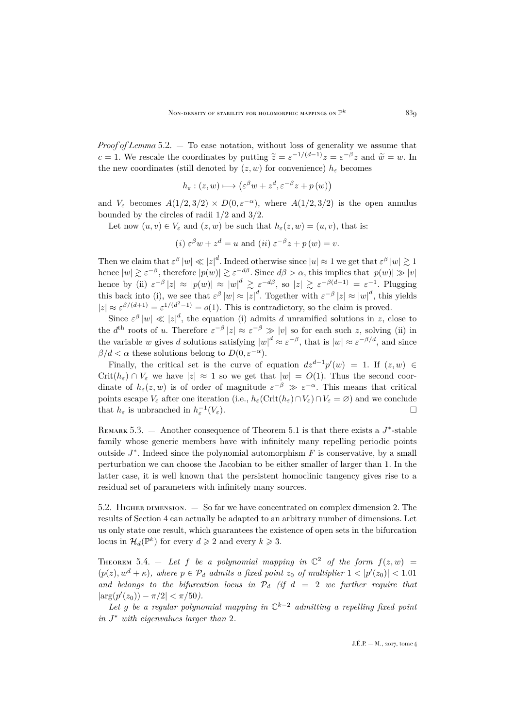*Proof of Lemma* [5.2.](#page-26-0) — To ease notation, without loss of generality we assume that c = 1. We rescale the coordinates by putting  $\tilde{z} = \varepsilon^{-1/(d-1)}z = \varepsilon^{-\beta}z$  and  $\tilde{w} = w$ . In the new coordinates (still denoted by  $(z, w)$  for convenience)  $h_{\varepsilon}$  becomes

$$
h_{\varepsilon} : (z, w) \longmapsto (\varepsilon^{\beta} w + z^d, \varepsilon^{-\beta} z + p(w))
$$

and  $V_{\varepsilon}$  becomes  $A(1/2, 3/2) \times D(0, \varepsilon^{-\alpha})$ , where  $A(1/2, 3/2)$  is the open annulus bounded by the circles of radii 1/2 and 3/2.

Let now  $(u, v) \in V_{\varepsilon}$  and  $(z, w)$  be such that  $h_{\varepsilon}(z, w) = (u, v)$ , that is:

(i) 
$$
\varepsilon^{\beta} w + z^{d} = u
$$
 and (ii)  $\varepsilon^{-\beta} z + p(w) = v$ .

Then we claim that  $\varepsilon^{\beta} |w| \ll |z|^d$ . Indeed otherwise since  $|u| \approx 1$  we get that  $\varepsilon^{\beta} |w| \gtrsim 1$ hence  $|w| \gtrsim \varepsilon^{-\beta}$ , therefore  $|p(w)| \gtrsim \varepsilon^{-d\beta}$ . Since  $d\beta > \alpha$ , this implies that  $|p(w)| \gg |v|$ hence by (ii)  $\varepsilon^{-\beta} |z| \approx |p(w)| \approx |w|^d \geq \varepsilon^{-d\beta}$ , so  $|z| \geq \varepsilon^{-\beta(d-1)} = \varepsilon^{-1}$ . Plugging this back into (i), we see that  $\varepsilon^{\beta} |w| \approx |z|^d$ . Together with  $\varepsilon^{-\beta} |z| \approx |w|^d$ , this yields  $|z| \approx \varepsilon^{\beta/(d+1)} = \varepsilon^{1/(d^2-1)} = o(1)$ . This is contradictory, so the claim is proved.

Since  $\varepsilon^{\beta} |w| \ll |z|^d$ , the equation (i) admits d unramified solutions in z, close to the  $d^{\text{th}}$  roots of u. Therefore  $\varepsilon^{-\beta} |z| \approx \varepsilon^{-\beta} \gg |v|$  so for each such z, solving (ii) in the variable w gives d solutions satisfying  $|w|^d \approx \varepsilon^{-\beta}$ , that is  $|w| \approx \varepsilon^{-\beta/d}$ , and since  $\beta/d < \alpha$  these solutions belong to  $D(0, \varepsilon^{-\alpha})$ .

Finally, the critical set is the curve of equation  $dz^{d-1}p'(w) = 1$ . If  $(z, w) \in$  $Crit(h_{\varepsilon}) \cap V_{\varepsilon}$  we have  $|z| \approx 1$  so we get that  $|w| = O(1)$ . Thus the second coordinate of  $h_{\varepsilon}(z,w)$  is of order of magnitude  $\varepsilon^{-\beta} \gg \varepsilon^{-\alpha}$ . This means that critical points escape  $V_{\varepsilon}$  after one iteration (i.e.,  $h_{\varepsilon}(\mathrm{Crit}(h_{\varepsilon})\cap V_{\varepsilon})\cap V_{\varepsilon}=\varnothing)$  and we conclude that  $h_{\varepsilon}$  is unbranched in  $h_{\varepsilon}^{-1}$  $(V_{\varepsilon}).$ 

REMARK 5.3.  $-$  Another consequence of Theorem [5.1](#page-25-3) is that there exists a  $J^*$ -stable family whose generic members have with infinitely many repelling periodic points outside  $J^*$ . Indeed since the polynomial automorphism  $F$  is conservative, by a small perturbation we can choose the Jacobian to be either smaller of larger than 1. In the latter case, it is well known that the persistent homoclinic tangency gives rise to a residual set of parameters with infinitely many sources.

<span id="page-27-0"></span>5.2. Higher dimension. — So far we have concentrated on complex dimension 2. The results of Section [4](#page-13-0) can actually be adapted to an arbitrary number of dimensions. Let us only state one result, which guarantees the existence of open sets in the bifurcation locus in  $\mathcal{H}_d(\mathbb{P}^k)$  for every  $d \geq 2$  and every  $k \geq 3$ .

<span id="page-27-1"></span>THEOREM 5.4. – Let f be a polynomial mapping in  $\mathbb{C}^2$  of the form  $f(z,w)$  =  $(p(z), w<sup>d</sup> + \kappa)$ , where  $p \in \mathcal{P}_d$  admits a fixed point  $z_0$  of multiplier  $1 < |p'(z_0)| < 1.01$ and belongs to the bifurcation locus in  $\mathcal{P}_d$  (if  $d = 2$  we further require that  $|\arg(p'(z_0)) - \pi/2| < \pi/50$ .

*Let* g *be a regular polynomial mapping in* C <sup>k</sup>−<sup>2</sup> *admitting a repelling fixed point in* J <sup>∗</sup> *with eigenvalues larger than* 2*.*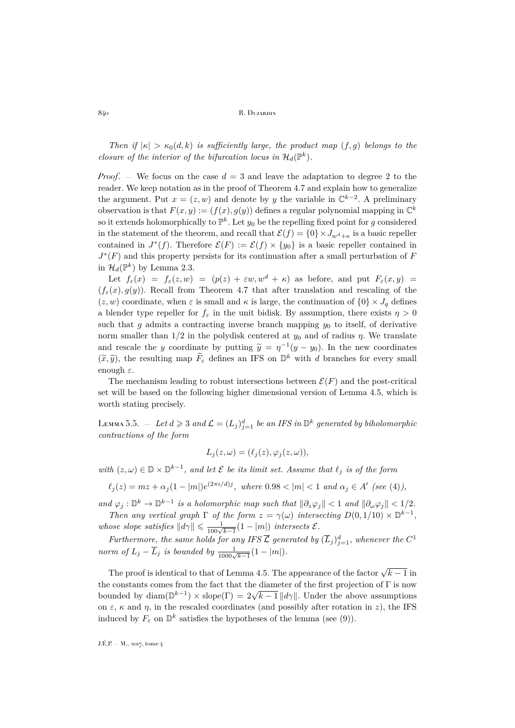*Then if*  $|\kappa| > \kappa_0(d, k)$  *is sufficiently large, the product map*  $(f, g)$  *belongs to the closure of the interior of the bifurcation locus in*  $\mathcal{H}_d(\mathbb{P}^k)$ .

*Proof.* — We focus on the case  $d = 3$  and leave the adaptation to degree 2 to the reader. We keep notation as in the proof of Theorem [4.7](#page-18-0) and explain how to generalize the argument. Put  $x = (z, w)$  and denote by y the variable in  $\mathbb{C}^{k-2}$ . A preliminary observation is that  $F(x, y) := (f(x), g(y))$  defines a regular polynomial mapping in  $\mathbb{C}^k$ so it extends holomorphically to  $\mathbb{P}^k$ . Let  $y_0$  be the repelling fixed point for g considered in the statement of the theorem, and recall that  $\mathcal{E}(f) = \{0\} \times J_{w^d + \kappa}$  is a basic repeller contained in  $J^*(f)$ . Therefore  $\mathcal{E}(F) := \mathcal{E}(f) \times \{y_0\}$  is a basic repeller contained in  $J^*(F)$  and this property persists for its continuation after a small perturbation of F in  $\mathcal{H}_d(\mathbb{P}^k)$  by Lemma [2.3.](#page-5-2)

Let  $f_{\varepsilon}(x) = f_{\varepsilon}(z, w) = (p(z) + \varepsilon w, w^d + \kappa)$  as before, and put  $F_{\varepsilon}(x, y) =$  $(f_{\varepsilon}(x), g(y))$ . Recall from Theorem [4.7](#page-18-0) that after translation and rescaling of the  $(z, w)$  coordinate, when  $\varepsilon$  is small and  $\kappa$  is large, the continuation of  $\{0\} \times J_q$  defines a blender type repeller for  $f_{\varepsilon}$  in the unit bidisk. By assumption, there exists  $\eta > 0$ such that g admits a contracting inverse branch mapping  $y_0$  to itself, of derivative norm smaller than  $1/2$  in the polydisk centered at  $y_0$  and of radius  $\eta$ . We translate and rescale the y coordinate by putting  $\widetilde{y} = \eta^{-1}(y - y_0)$ . In the new coordinates  $(\tilde{x}, \tilde{y})$ , the resulting map  $\tilde{F}_{\varepsilon}$  defines an IFS on  $\mathbb{D}^{k}$  with d branches for every small enough  $\varepsilon$ .

The mechanism leading to robust intersections between  $\mathcal{E}(F)$  and the post-critical set will be based on the following higher dimensional version of Lemma [4.5,](#page-16-2) which is worth stating precisely.

<span id="page-28-0"></span>Lemma 5.5.  $-$  Let  $d \geqslant 3$  and  $\mathcal{L} = (L_j)_{j=1}^d$  be an IFS in  $\mathbb{D}^k$  generated by biholomorphic *contractions of the form*

$$
L_j(z, \omega) = (\ell_j(z), \varphi_j(z, \omega)),
$$

*with*  $(z, ω) ∈ ℤ × ℤ<sup>k-1</sup>$ *, and let E be its limit set. Assume that*  $\ell_j$  *is of the form* 

 $\ell_j(z) = mz + \alpha_j(1 - |m|)e^{(2\pi i/d)j}$ , where  $0.98 < |m| < 1$  and  $\alpha_j \in A'$  (see [\(4\)](#page-16-3)),

*and*  $\varphi_j : \mathbb{D}^k \to \mathbb{D}^{k-1}$  *is a holomorphic map such that*  $\|\partial_z\varphi_j\| < 1$  *and*  $\|\partial_\omega\varphi_j\| < 1/2$ *. Then any vertical graph*  $\Gamma$  *of the form*  $z = \gamma(\omega)$  *intersecting*  $D(0, 1/10) \times \mathbb{D}^{k-1}$ , *whose slope satisfies*  $||d\gamma|| \leq \frac{1}{100\sqrt{k-1}}(1 - |m|)$  *intersects*  $\mathcal{E}$ *.* 

*Furthermore, the same holds for any IFS*  $\overline{\mathcal{L}}$  *generated by*  $(\overline{L}_j)_{j=1}^d$ *, whenever the*  $C^1$ *norm of*  $L_j - \overline{L}_j$  *is bounded by*  $\frac{1}{1000\sqrt{k-1}}(1 - |m|)$ .

The proof is identical to that of Lemma [4.5.](#page-16-2) The appearance of the factor  $\sqrt{k-1}$  in the constants comes from the fact that the diameter of the first projection of  $\Gamma$  is now bounded by diam( $\mathbb{D}^{k-1}$ ) × slope( $\Gamma$ ) =  $2\sqrt{k-1} ||d\gamma||$ . Under the above assumptions on  $\varepsilon$ ,  $\kappa$  and  $\eta$ , in the rescaled coordinates (and possibly after rotation in z), the IFS induced by  $F_{\varepsilon}$  on  $\mathbb{D}^{k}$  satisfies the hypotheses of the lemma (see [\(9\)](#page-19-0)).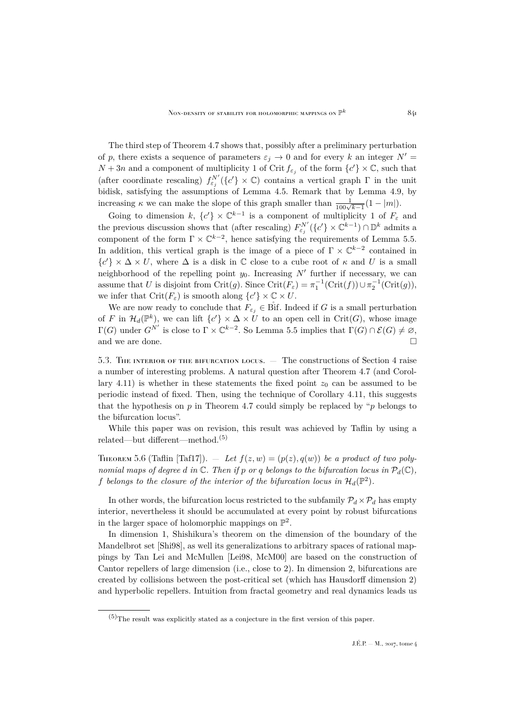The third step of Theorem [4.7](#page-18-0) shows that, possibly after a preliminary perturbation of p, there exists a sequence of parameters  $\varepsilon_i \to 0$  and for every k an integer  $N' =$  $N+3n$  and a component of multiplicity 1 of Crit  $f_{\varepsilon_j}$  of the form  $\{c'\}\times\mathbb{C}$ , such that (after coordinate rescaling)  $f_{\varepsilon_j}^{N'}(\{c'\}\times\mathbb{C})$  contains a vertical graph  $\Gamma$  in the unit bidisk, satisfying the assumptions of Lemma [4.5.](#page-16-2) Remark that by Lemma [4.9,](#page-21-1) by increasing  $\kappa$  we can make the slope of this graph smaller than  $\frac{1}{100\sqrt{k-1}}(1-|m|)$ .

Going to dimension k,  $\{c'\}\times\mathbb{C}^{k-1}$  is a component of multiplicity 1 of  $F_{\varepsilon}$  and the previous discussion shows that (after rescaling)  $F_{\varepsilon_j}^{N'}(\lbrace c' \rbrace \times \mathbb{C}^{k-1}) \cap \mathbb{D}^k$  admits a component of the form  $\Gamma \times \mathbb{C}^{k-2}$ , hence satisfying the requirements of Lemma [5.5.](#page-28-0) In addition, this vertical graph is the image of a piece of  $\Gamma \times \mathbb{C}^{k-2}$  contained in  ${c' \} \times \Delta \times U$ , where  $\Delta$  is a disk in  $\mathbb C$  close to a cube root of  $\kappa$  and U is a small neighborhood of the repelling point  $y_0$ . Increasing  $N'$  further if necessary, we can assume that U is disjoint from Crit $(g)$ . Since Crit $(F_{\varepsilon}) = \pi_1^{-1}(\text{Crit}(f)) \cup \pi_2^{-1}(\text{Crit}(g)),$ we infer that  $\operatorname{Crit}(F_\varepsilon)$  is smooth along  $\{c'\}\times\mathbb{C}\times U$ .

We are now ready to conclude that  $F_{\varepsilon_i} \in \text{Bif.}$  Indeed if G is a small perturbation of F in  $\mathcal{H}_d(\mathbb{P}^k)$ , we can lift  $\{c'\}\times\Delta\times\overline{U}$  to an open cell in Crit(G), whose image  $\Gamma(G)$  under  $G^{N'}$  is close to  $\Gamma \times \mathbb{C}^{k-2}$ . So Lemma [5.5](#page-28-0) implies that  $\Gamma(G) \cap \mathcal{E}(G) \neq \emptyset$ , and we are done.

<span id="page-29-0"></span>5.3. The interior of the bifurcation locus. — The constructions of Section [4](#page-13-0) raise a number of interesting problems. A natural question after Theorem [4.7](#page-18-0) (and Corol-lary [4.11\)](#page-24-0) is whether in these statements the fixed point  $z_0$  can be assumed to be periodic instead of fixed. Then, using the technique of Corollary [4.11,](#page-24-0) this suggests that the hypothesis on  $p$  in Theorem [4.7](#page-18-0) could simply be replaced by " $p$  belongs to the bifurcation locus".

While this paper was on revision, this result was achieved by Taflin by using a related—but different—method.(5)

THEOREM 5.6 (Taflin [\[Taf17\]](#page-31-13)).  $=$  Let  $f(z, w) = (p(z), q(w))$  be a product of two poly*nomial maps of degree d in*  $\mathbb C$ *. Then if* p *or* q *belongs to the bifurcation locus in*  $\mathcal P_d(\mathbb C)$ *,* f belongs to the closure of the interior of the bifurcation locus in  $\mathcal{H}_d(\mathbb{P}^2)$ .

In other words, the bifurcation locus restricted to the subfamily  $\mathcal{P}_d \times \mathcal{P}_d$  has empty interior, nevertheless it should be accumulated at every point by robust bifurcations in the larger space of holomorphic mappings on  $\mathbb{P}^2$ .

In dimension 1, Shishikura's theorem on the dimension of the boundary of the Mandelbrot set [\[Shi98\]](#page-31-14), as well its generalizations to arbitrary spaces of rational mappings by Tan Lei and McMullen [\[Lei98,](#page-31-15) [McM00\]](#page-31-16) are based on the construction of Cantor repellers of large dimension (i.e., close to 2). In dimension 2, bifurcations are created by collisions between the post-critical set (which has Hausdorff dimension 2) and hyperbolic repellers. Intuition from fractal geometry and real dynamics leads us

 $(5)$ The result was explicitly stated as a conjecture in the first version of this paper.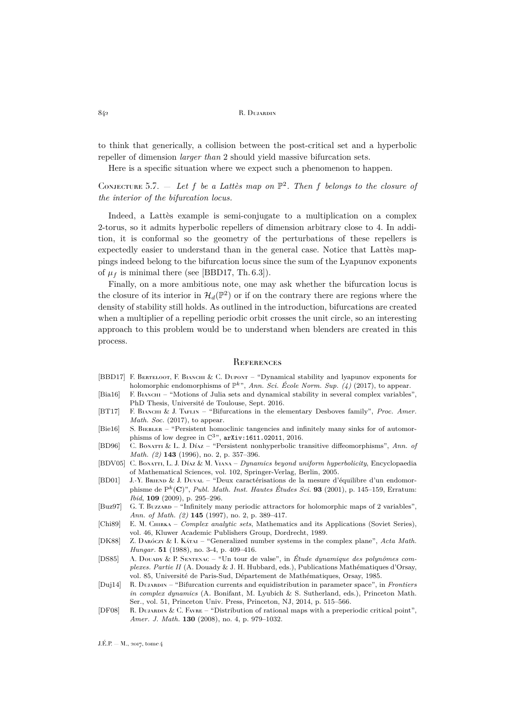to think that generically, a collision between the post-critical set and a hyperbolic repeller of dimension *larger than* 2 should yield massive bifurcation sets.

Here is a specific situation where we expect such a phenomenon to happen.

CONJECTURE 5.7.  $-$  Let f be a Lattès map on  $\mathbb{P}^2$ . Then f belongs to the closure of *the interior of the bifurcation locus.*

Indeed, a Lattès example is semi-conjugate to a multiplication on a complex 2-torus, so it admits hyperbolic repellers of dimension arbitrary close to 4. In addition, it is conformal so the geometry of the perturbations of these repellers is expectedly easier to understand than in the general case. Notice that Lattès mappings indeed belong to the bifurcation locus since the sum of the Lyapunov exponents of  $\mu_f$  is minimal there (see [\[BBD17,](#page-30-1) Th. 6.3]).

Finally, on a more ambitious note, one may ask whether the bifurcation locus is the closure of its interior in  $\mathcal{H}_d(\mathbb{P}^2)$  or if on the contrary there are regions where the density of stability still holds. As outlined in the introduction, bifurcations are created when a multiplier of a repelling periodic orbit crosses the unit circle, so an interesting approach to this problem would be to understand when blenders are created in this process.

### <span id="page-30-0"></span>**REFERENCES**

- <span id="page-30-1"></span>[BBD17] F. BERTELOOT, F. BIANCHI & C. DUPONT – "Dynamical stability and lyapunov exponents for holomorphic endomorphisms of  $\mathbb{P}^{k}$ <sup>n</sup>, *Ann. Sci. École Norm. Sup.* (4) (2017), to appear.
- <span id="page-30-8"></span>[Bia16] F. BIANCHI – "Motions of Julia sets and dynamical stability in several complex variables", PhD Thesis, Université de Toulouse, Sept. 2016.
- <span id="page-30-3"></span>[BT17] F. Bianchi & J. Taflin – "Bifurcations in the elementary Desboves family", *Proc. Amer. Math. Soc.* (2017), to appear.
- <span id="page-30-6"></span>[Bie16] S. BIEBLER – "Persistent homoclinic tangencies and infinitely many sinks for of automorphisms of low degree in  $\mathbb{C}^3$ ", [arXiv:1611.02011](http://arxiv.org/abs/1611.02011), 2016.
- <span id="page-30-4"></span>[BD96] C. Bonatti & L. J. Díaz – "Persistent nonhyperbolic transitive diffeomorphisms", *Ann. of Math. (2)* **143** (1996), no. 2, p. 357–396.
- <span id="page-30-5"></span>[BDV05] C. Bonatti, L. J. Díaz & M. Viana – *Dynamics beyond uniform hyperbolicity*, Encyclopaedia of Mathematical Sciences, vol. 102, Springer-Verlag, Berlin, 2005.
- <span id="page-30-7"></span>[BD01] J.-Y. Briend & J. Duval – "Deux caractérisations de la mesure d'équilibre d'un endomorphisme de Pk(C)", *Publ. Math. Inst. Hautes Études Sci.* **93** (2001), p. 145–159, Erratum: *Ibid*, **109** (2009), p. 295–296.
- <span id="page-30-2"></span>[Buz97] G. T. Buzzard – "Infinitely many periodic attractors for holomorphic maps of 2 variables", *Ann. of Math. (2)* **145** (1997), no. 2, p. 389–417.
- <span id="page-30-9"></span>[Chi89] E. M. Chirka – *Complex analytic sets*, Mathematics and its Applications (Soviet Series), vol. 46, Kluwer Academic Publishers Group, Dordrecht, 1989.
- <span id="page-30-12"></span>[DK88] Z. Daróczy & I. Kátai – "Generalized number systems in the complex plane", *Acta Math. Hungar.* **51** (1988), no. 3-4, p. 409–416.
- <span id="page-30-13"></span>[DS85] A. Douapx & P. SENTENAC – "Un tour de valse", in *Étude dynamique des polynômes complexes. Partie II* (A. Douady & J. H. Hubbard, eds.), Publications Mathématiques d'Orsay, vol. 85, Université de Paris-Sud, Département de Mathématiques, Orsay, 1985.
- <span id="page-30-10"></span>[Duj14] R. Dujardin – "Bifurcation currents and equidistribution in parameter space", in *Frontiers in complex dynamics* (A. Bonifant, M. Lyubich & S. Sutherland, eds.), Princeton Math. Ser., vol. 51, Princeton Univ. Press, Princeton, NJ, 2014, p. 515–566.
- <span id="page-30-11"></span>[DF08] R. DUJARDIN & C. FAVRE – "Distribution of rational maps with a preperiodic critical point", *Amer. J. Math.* **130** (2008), no. 4, p. 979–1032.